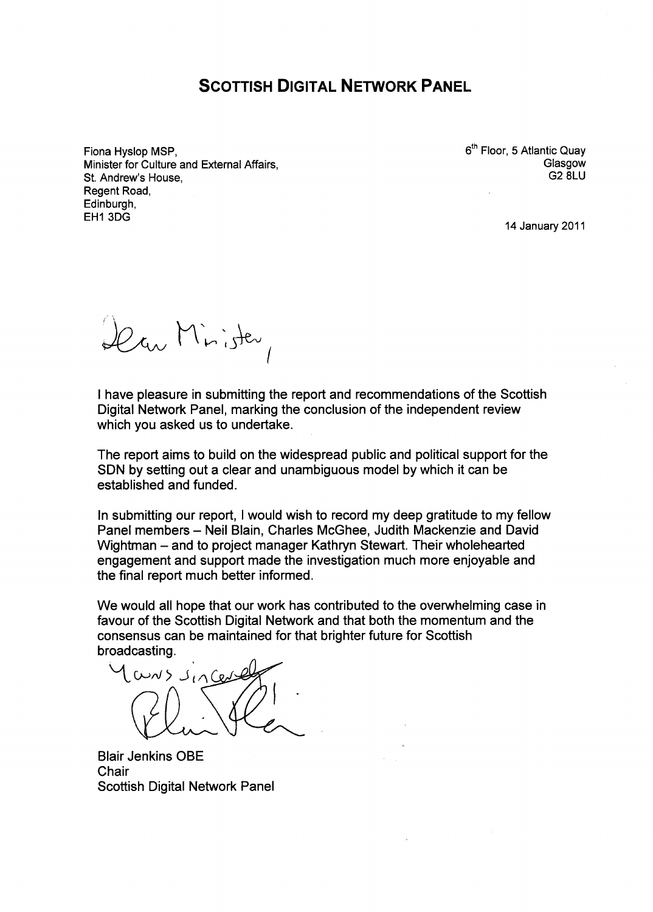# **SCOTTISH DIGITAL NETWORK PANEL**

Fiona Hyslop MSP, Minister for Culture and External Affairs, St. Andrew's House, Regent Road, Edinburgh, EH13DG

6<sup>th</sup> Floor, 5 Atlantic Qua<sub>)</sub> **Glasgow** G2 8LU

14 January 2011

Dear Minister,

I have pleasure in submitting the report and recommendations of the Scottish Digital Network Panel, marking the conclusion of the independent review which you asked us to undertake.

The report aims to build on the widespread public and political support for the SDN by setting out a clear and unambiguous model by which it can be established and funded.

In submitting our report, I would wish to record my deep gratitude to my fellow Panel members - Neil Blain, Charles McGhee, Judith Mackenzie and David Wightman - and to project manager Kathryn Stewart. Their wholehearted engagement and support made the investigation much more enjoyable and the final report much better informed.

We would all hope that our work has contributed to the overwhelming case in favour of the Scottish Digital Network and that both the momentum and the consensus can be maintained for that brighter future for Scottish broadcasting.

 $uv>>J_{1}\cap Q_{2}$ 

Blair Jenkins OBE **Chair** Scottish Digital Network Panel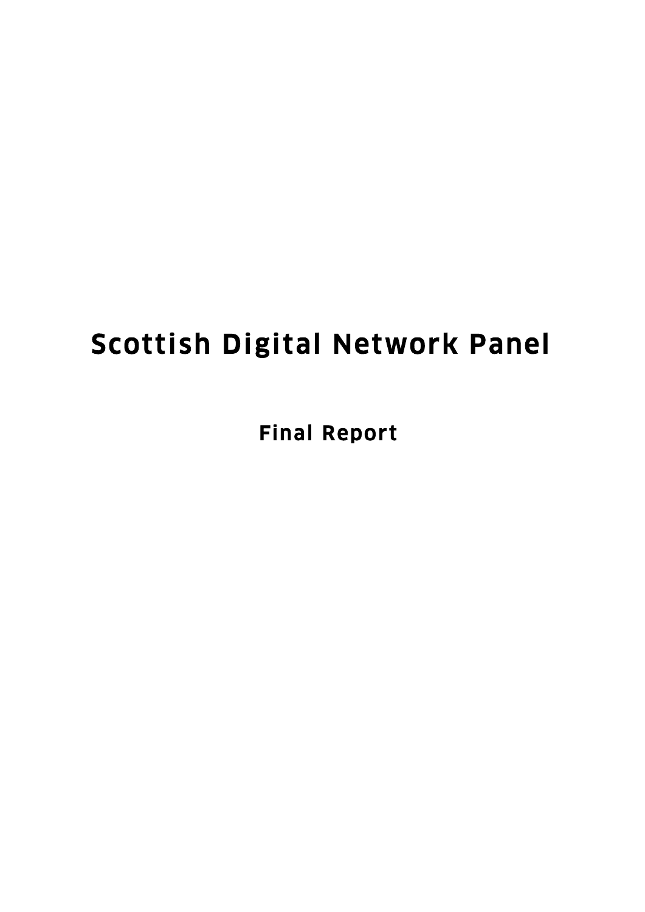# Scottish Digital Network Panel

Final Report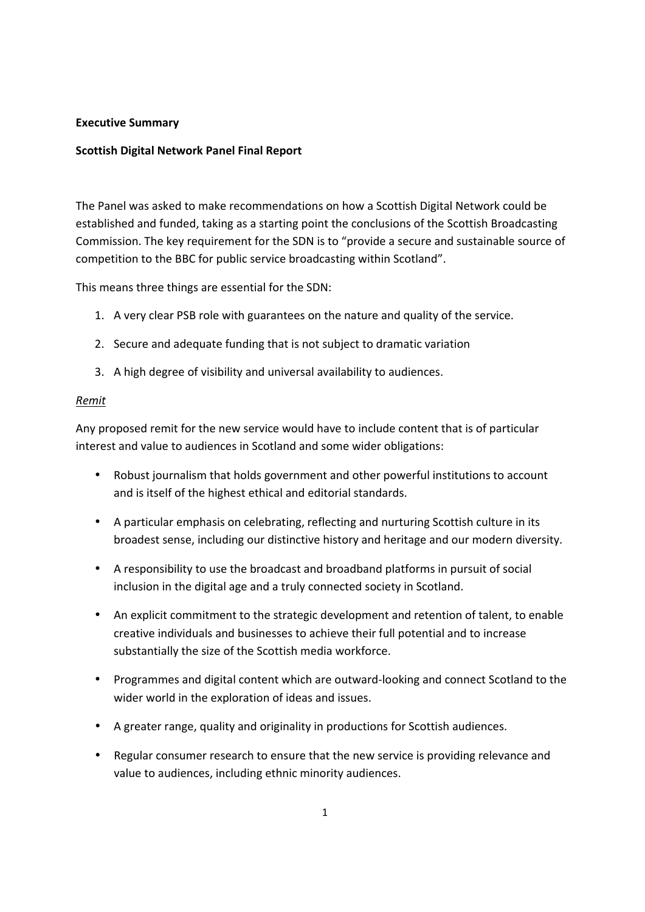### **Executive Summary**

## **Scottish Digital Network Panel Final Report**

The Panel was asked to make recommendations on how a Scottish Digital Network could be established and funded, taking as a starting point the conclusions of the Scottish Broadcasting Commission. The key requirement for the SDN is to "provide a secure and sustainable source of competition to the BBC for public service broadcasting within Scotland".

This means three things are essential for the SDN:

- 1. A very clear PSB role with guarantees on the nature and quality of the service.
- 2. Secure and adequate funding that is not subject to dramatic variation
- 3. A high degree of visibility and universal availability to audiences.

#### *Remit*

Any proposed remit for the new service would have to include content that is of particular interest and value to audiences in Scotland and some wider obligations:

- Robust journalism that holds government and other powerful institutions to account and is itself of the highest ethical and editorial standards.
- A particular emphasis on celebrating, reflecting and nurturing Scottish culture in its broadest sense, including our distinctive history and heritage and our modern diversity.
- A responsibility to use the broadcast and broadband platforms in pursuit of social inclusion in the digital age and a truly connected society in Scotland.
- An explicit commitment to the strategic development and retention of talent, to enable creative individuals and businesses to achieve their full potential and to increase substantially the size of the Scottish media workforce.
- Programmes and digital content which are outward-looking and connect Scotland to the wider world in the exploration of ideas and issues.
- A greater range, quality and originality in productions for Scottish audiences.
- Regular consumer research to ensure that the new service is providing relevance and value to audiences, including ethnic minority audiences.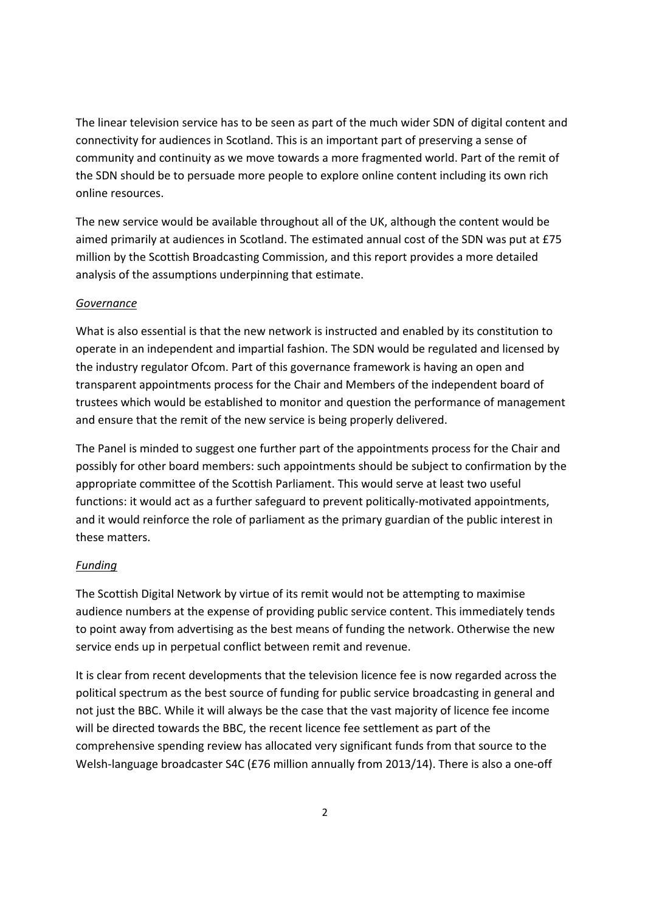The linear television service has to be seen as part of the much wider SDN of digital content and connectivity for audiences in Scotland. This is an important part of preserving a sense of community and continuity as we move towards a more fragmented world. Part of the remit of the SDN should be to persuade more people to explore online content including its own rich online resources.

The new service would be available throughout all of the UK, although the content would be aimed primarily at audiences in Scotland. The estimated annual cost of the SDN was put at £75 million by the Scottish Broadcasting Commission, and this report provides a more detailed analysis of the assumptions underpinning that estimate.

#### *Governance*

What is also essential is that the new network is instructed and enabled by its constitution to operate in an independent and impartial fashion. The SDN would be regulated and licensed by the industry regulator Ofcom. Part of this governance framework is having an open and transparent appointments process for the Chair and Members of the independent board of trustees which would be established to monitor and question the performance of management and ensure that the remit of the new service is being properly delivered.

The Panel is minded to suggest one further part of the appointments process for the Chair and possibly for other board members: such appointments should be subject to confirmation by the appropriate committee of the Scottish Parliament. This would serve at least two useful functions: it would act as a further safeguard to prevent politically-motivated appointments, and it would reinforce the role of parliament as the primary guardian of the public interest in these matters.

# *Funding*

The Scottish Digital Network by virtue of its remit would not be attempting to maximise audience numbers at the expense of providing public service content. This immediately tends to point away from advertising as the best means of funding the network. Otherwise the new service ends up in perpetual conflict between remit and revenue.

It is clear from recent developments that the television licence fee is now regarded across the political spectrum as the best source of funding for public service broadcasting in general and not just the BBC. While it will always be the case that the vast majority of licence fee income will be directed towards the BBC, the recent licence fee settlement as part of the comprehensive spending review has allocated very significant funds from that source to the Welsh-language broadcaster S4C (£76 million annually from 2013/14). There is also a one-off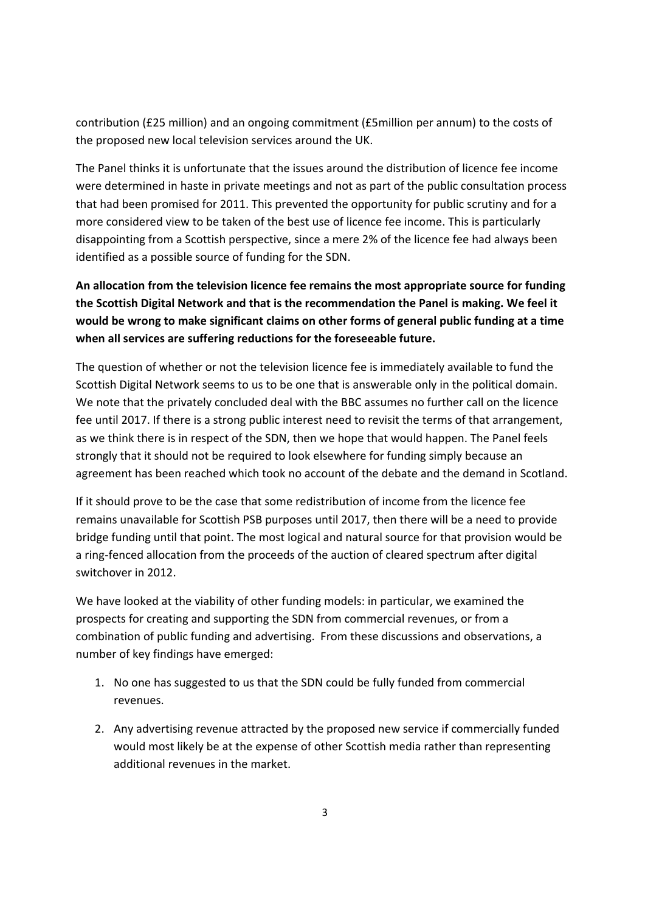contribution (£25 million) and an ongoing commitment (£5million per annum) to the costs of the proposed new local television services around the UK.

The Panel thinks it is unfortunate that the issues around the distribution of licence fee income were determined in haste in private meetings and not as part of the public consultation process that had been promised for 2011. This prevented the opportunity for public scrutiny and for a more considered view to be taken of the best use of licence fee income. This is particularly disappointing from a Scottish perspective, since a mere 2% of the licence fee had always been identified as a possible source of funding for the SDN.

**An allocation from the television licence fee remains the most appropriate source for funding the Scottish Digital Network and that is the recommendation the Panel is making. We feel it would be wrong to make significant claims on other forms of general public funding at a time when all services are suffering reductions for the foreseeable future.** 

The question of whether or not the television licence fee is immediately available to fund the Scottish Digital Network seems to us to be one that is answerable only in the political domain. We note that the privately concluded deal with the BBC assumes no further call on the licence fee until 2017. If there is a strong public interest need to revisit the terms of that arrangement, as we think there is in respect of the SDN, then we hope that would happen. The Panel feels strongly that it should not be required to look elsewhere for funding simply because an agreement has been reached which took no account of the debate and the demand in Scotland.

If it should prove to be the case that some redistribution of income from the licence fee remains unavailable for Scottish PSB purposes until 2017, then there will be a need to provide bridge funding until that point. The most logical and natural source for that provision would be a ring-fenced allocation from the proceeds of the auction of cleared spectrum after digital switchover in 2012.

We have looked at the viability of other funding models: in particular, we examined the prospects for creating and supporting the SDN from commercial revenues, or from a combination of public funding and advertising. From these discussions and observations, a number of key findings have emerged:

- 1. No one has suggested to us that the SDN could be fully funded from commercial revenues.
- 2. Any advertising revenue attracted by the proposed new service if commercially funded would most likely be at the expense of other Scottish media rather than representing additional revenues in the market.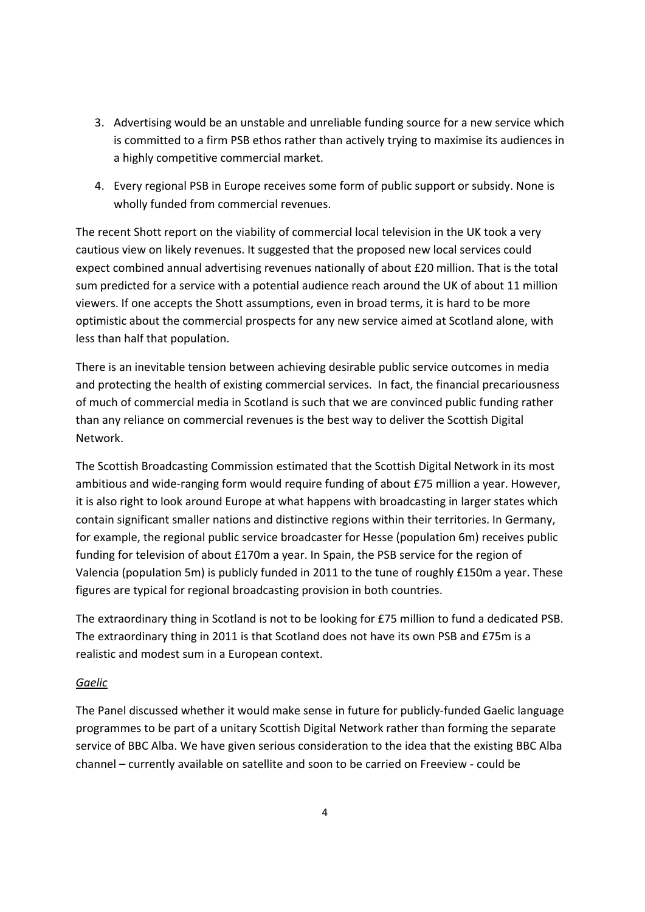- 3. Advertising would be an unstable and unreliable funding source for a new service which is committed to a firm PSB ethos rather than actively trying to maximise its audiences in a highly competitive commercial market.
- 4. Every regional PSB in Europe receives some form of public support or subsidy. None is wholly funded from commercial revenues.

The recent Shott report on the viability of commercial local television in the UK took a very cautious view on likely revenues. It suggested that the proposed new local services could expect combined annual advertising revenues nationally of about £20 million. That is the total sum predicted for a service with a potential audience reach around the UK of about 11 million viewers. If one accepts the Shott assumptions, even in broad terms, it is hard to be more optimistic about the commercial prospects for any new service aimed at Scotland alone, with less than half that population.

There is an inevitable tension between achieving desirable public service outcomes in media and protecting the health of existing commercial services. In fact, the financial precariousness of much of commercial media in Scotland is such that we are convinced public funding rather than any reliance on commercial revenues is the best way to deliver the Scottish Digital Network.

The Scottish Broadcasting Commission estimated that the Scottish Digital Network in its most ambitious and wide-ranging form would require funding of about £75 million a year. However, it is also right to look around Europe at what happens with broadcasting in larger states which contain significant smaller nations and distinctive regions within their territories. In Germany, for example, the regional public service broadcaster for Hesse (population 6m) receives public funding for television of about £170m a year. In Spain, the PSB service for the region of Valencia (population 5m) is publicly funded in 2011 to the tune of roughly £150m a year. These figures are typical for regional broadcasting provision in both countries.

The extraordinary thing in Scotland is not to be looking for £75 million to fund a dedicated PSB. The extraordinary thing in 2011 is that Scotland does not have its own PSB and £75m is a realistic and modest sum in a European context.

# *Gaelic*

The Panel discussed whether it would make sense in future for publicly-funded Gaelic language programmes to be part of a unitary Scottish Digital Network rather than forming the separate service of BBC Alba. We have given serious consideration to the idea that the existing BBC Alba channel – currently available on satellite and soon to be carried on Freeview - could be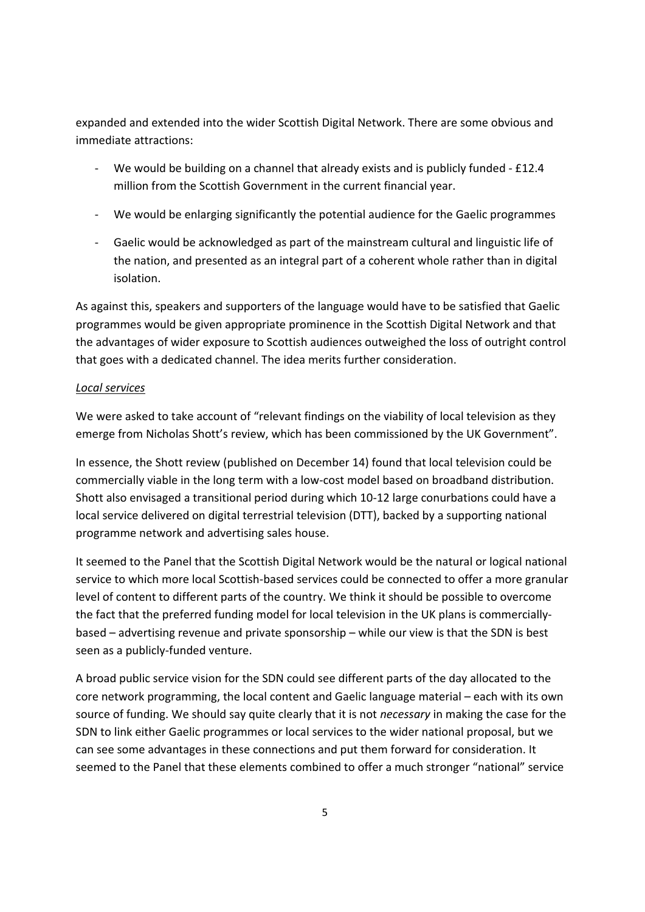expanded and extended into the wider Scottish Digital Network. There are some obvious and immediate attractions:

- We would be building on a channel that already exists and is publicly funded £12.4 million from the Scottish Government in the current financial year.
- We would be enlarging significantly the potential audience for the Gaelic programmes
- Gaelic would be acknowledged as part of the mainstream cultural and linguistic life of the nation, and presented as an integral part of a coherent whole rather than in digital isolation.

As against this, speakers and supporters of the language would have to be satisfied that Gaelic programmes would be given appropriate prominence in the Scottish Digital Network and that the advantages of wider exposure to Scottish audiences outweighed the loss of outright control that goes with a dedicated channel. The idea merits further consideration.

### *Local services*

We were asked to take account of "relevant findings on the viability of local television as they emerge from Nicholas Shott's review, which has been commissioned by the UK Government".

In essence, the Shott review (published on December 14) found that local television could be commercially viable in the long term with a low-cost model based on broadband distribution. Shott also envisaged a transitional period during which 10-12 large conurbations could have a local service delivered on digital terrestrial television (DTT), backed by a supporting national programme network and advertising sales house.

It seemed to the Panel that the Scottish Digital Network would be the natural or logical national service to which more local Scottish-based services could be connected to offer a more granular level of content to different parts of the country. We think it should be possible to overcome the fact that the preferred funding model for local television in the UK plans is commerciallybased – advertising revenue and private sponsorship – while our view is that the SDN is best seen as a publicly-funded venture.

A broad public service vision for the SDN could see different parts of the day allocated to the core network programming, the local content and Gaelic language material – each with its own source of funding. We should say quite clearly that it is not *necessary* in making the case for the SDN to link either Gaelic programmes or local services to the wider national proposal, but we can see some advantages in these connections and put them forward for consideration. It seemed to the Panel that these elements combined to offer a much stronger "national" service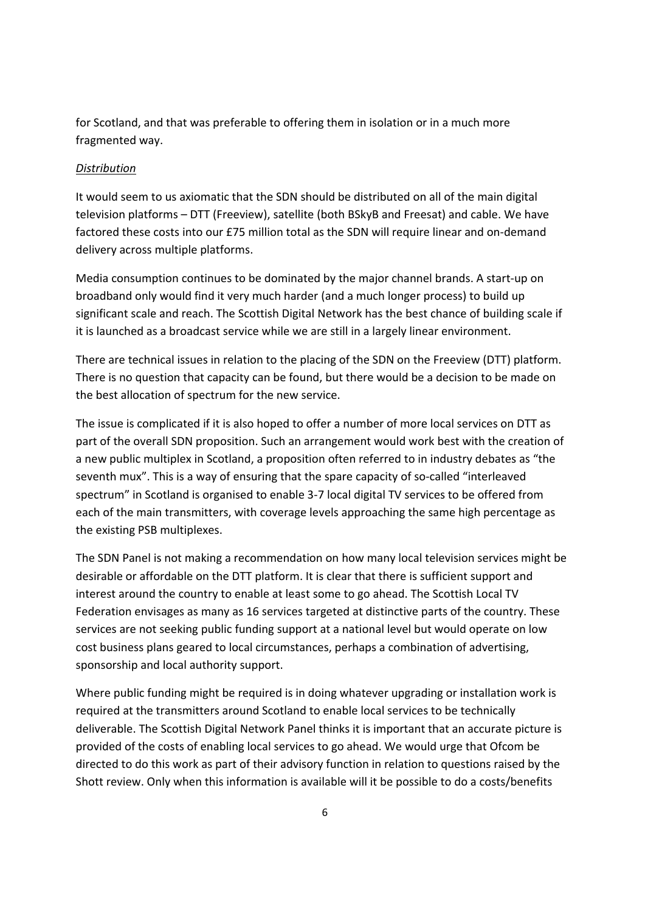for Scotland, and that was preferable to offering them in isolation or in a much more fragmented way.

### *Distribution*

It would seem to us axiomatic that the SDN should be distributed on all of the main digital television platforms – DTT (Freeview), satellite (both BSkyB and Freesat) and cable. We have factored these costs into our £75 million total as the SDN will require linear and on-demand delivery across multiple platforms.

Media consumption continues to be dominated by the major channel brands. A start-up on broadband only would find it very much harder (and a much longer process) to build up significant scale and reach. The Scottish Digital Network has the best chance of building scale if it is launched as a broadcast service while we are still in a largely linear environment.

There are technical issues in relation to the placing of the SDN on the Freeview (DTT) platform. There is no question that capacity can be found, but there would be a decision to be made on the best allocation of spectrum for the new service.

The issue is complicated if it is also hoped to offer a number of more local services on DTT as part of the overall SDN proposition. Such an arrangement would work best with the creation of a new public multiplex in Scotland, a proposition often referred to in industry debates as "the seventh mux". This is a way of ensuring that the spare capacity of so-called "interleaved spectrum" in Scotland is organised to enable 3-7 local digital TV services to be offered from each of the main transmitters, with coverage levels approaching the same high percentage as the existing PSB multiplexes.

The SDN Panel is not making a recommendation on how many local television services might be desirable or affordable on the DTT platform. It is clear that there is sufficient support and interest around the country to enable at least some to go ahead. The Scottish Local TV Federation envisages as many as 16 services targeted at distinctive parts of the country. These services are not seeking public funding support at a national level but would operate on low cost business plans geared to local circumstances, perhaps a combination of advertising, sponsorship and local authority support.

Where public funding might be required is in doing whatever upgrading or installation work is required at the transmitters around Scotland to enable local services to be technically deliverable. The Scottish Digital Network Panel thinks it is important that an accurate picture is provided of the costs of enabling local services to go ahead. We would urge that Ofcom be directed to do this work as part of their advisory function in relation to questions raised by the Shott review. Only when this information is available will it be possible to do a costs/benefits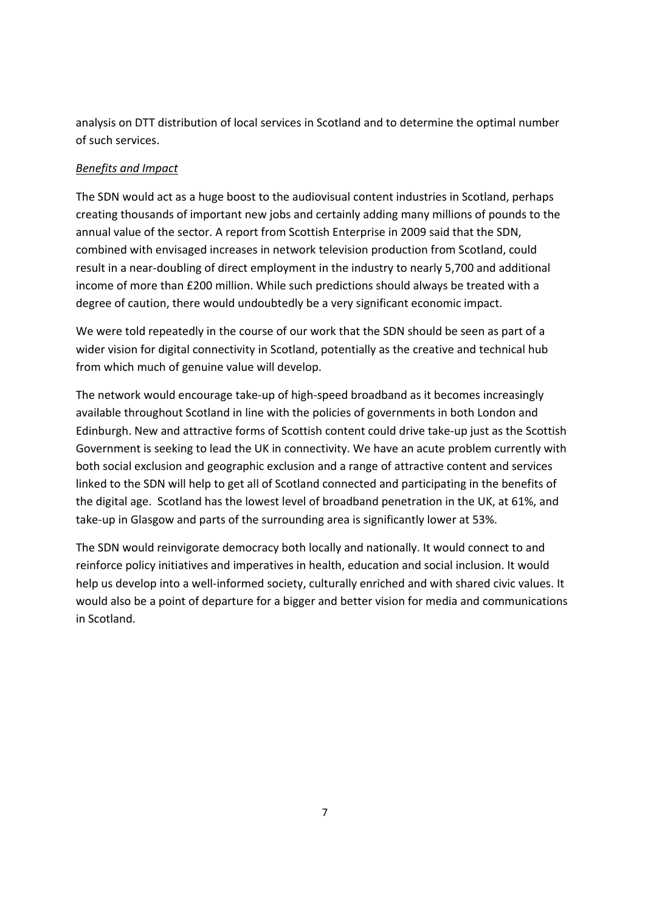analysis on DTT distribution of local services in Scotland and to determine the optimal number of such services.

# *Benefits and Impact*

The SDN would act as a huge boost to the audiovisual content industries in Scotland, perhaps creating thousands of important new jobs and certainly adding many millions of pounds to the annual value of the sector. A report from Scottish Enterprise in 2009 said that the SDN, combined with envisaged increases in network television production from Scotland, could result in a near-doubling of direct employment in the industry to nearly 5,700 and additional income of more than £200 million. While such predictions should always be treated with a degree of caution, there would undoubtedly be a very significant economic impact.

We were told repeatedly in the course of our work that the SDN should be seen as part of a wider vision for digital connectivity in Scotland, potentially as the creative and technical hub from which much of genuine value will develop.

The network would encourage take-up of high-speed broadband as it becomes increasingly available throughout Scotland in line with the policies of governments in both London and Edinburgh. New and attractive forms of Scottish content could drive take-up just as the Scottish Government is seeking to lead the UK in connectivity. We have an acute problem currently with both social exclusion and geographic exclusion and a range of attractive content and services linked to the SDN will help to get all of Scotland connected and participating in the benefits of the digital age. Scotland has the lowest level of broadband penetration in the UK, at 61%, and take-up in Glasgow and parts of the surrounding area is significantly lower at 53%.

The SDN would reinvigorate democracy both locally and nationally. It would connect to and reinforce policy initiatives and imperatives in health, education and social inclusion. It would help us develop into a well-informed society, culturally enriched and with shared civic values. It would also be a point of departure for a bigger and better vision for media and communications in Scotland.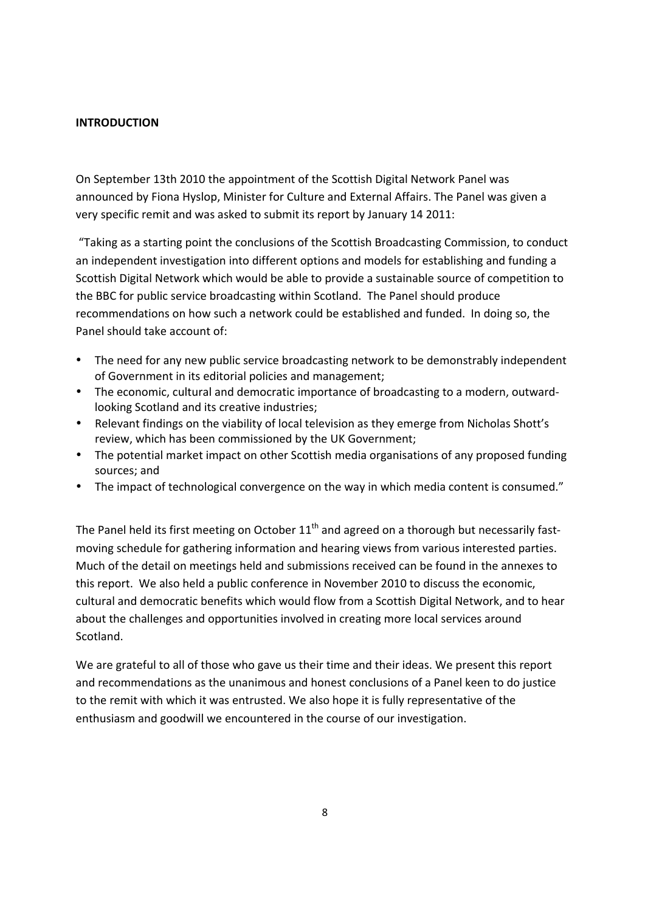### **INTRODUCTION**

On September 13th 2010 the appointment of the Scottish Digital Network Panel was announced by Fiona Hyslop, Minister for Culture and External Affairs. The Panel was given a very specific remit and was asked to submit its report by January 14 2011:

 "Taking as a starting point the conclusions of the Scottish Broadcasting Commission, to conduct an independent investigation into different options and models for establishing and funding a Scottish Digital Network which would be able to provide a sustainable source of competition to the BBC for public service broadcasting within Scotland. The Panel should produce recommendations on how such a network could be established and funded. In doing so, the Panel should take account of:

- The need for any new public service broadcasting network to be demonstrably independent of Government in its editorial policies and management;
- The economic, cultural and democratic importance of broadcasting to a modern, outwardlooking Scotland and its creative industries;
- Relevant findings on the viability of local television as they emerge from Nicholas Shott's review, which has been commissioned by the UK Government;
- The potential market impact on other Scottish media organisations of any proposed funding sources; and
- The impact of technological convergence on the way in which media content is consumed."

The Panel held its first meeting on October  $11<sup>th</sup>$  and agreed on a thorough but necessarily fastmoving schedule for gathering information and hearing views from various interested parties. Much of the detail on meetings held and submissions received can be found in the annexes to this report. We also held a public conference in November 2010 to discuss the economic, cultural and democratic benefits which would flow from a Scottish Digital Network, and to hear about the challenges and opportunities involved in creating more local services around Scotland.

We are grateful to all of those who gave us their time and their ideas. We present this report and recommendations as the unanimous and honest conclusions of a Panel keen to do justice to the remit with which it was entrusted. We also hope it is fully representative of the enthusiasm and goodwill we encountered in the course of our investigation.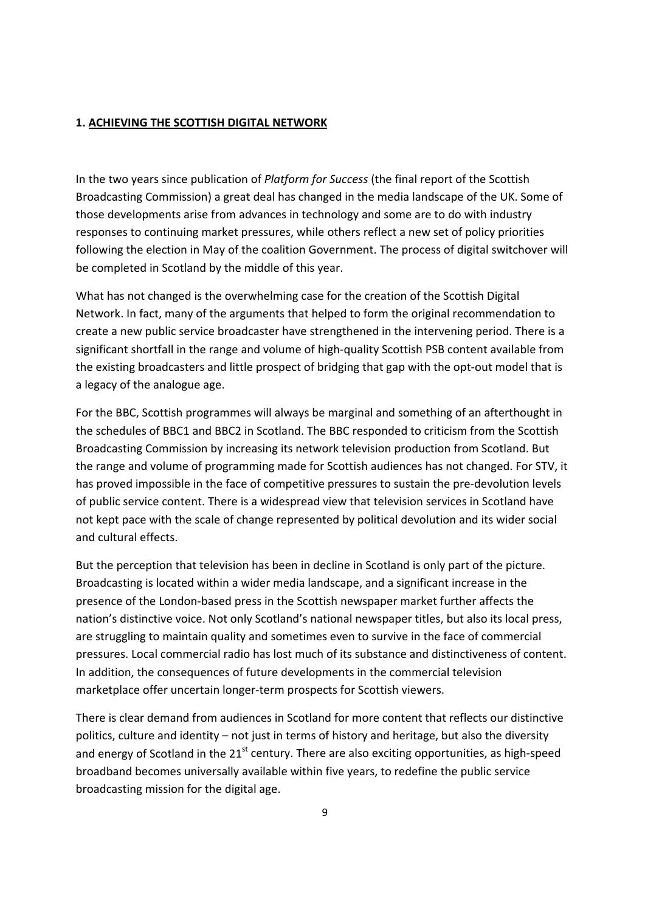#### **1. ACHIEVING THE SCOTTISH DIGITAL NETWORK**

In the two years since publication of *Platform for Success* (the final report of the Scottish Broadcasting Commission) a great deal has changed in the media landscape of the UK. Some of those developments arise from advances in technology and some are to do with industry responses to continuing market pressures, while others reflect a new set of policy priorities following the election in May of the coalition Government. The process of digital switchover will be completed in Scotland by the middle of this year.

What has not changed is the overwhelming case for the creation of the Scottish Digital Network. In fact, many of the arguments that helped to form the original recommendation to create a new public service broadcaster have strengthened in the intervening period. There is a significant shortfall in the range and volume of high-quality Scottish PSB content available from the existing broadcasters and little prospect of bridging that gap with the opt-out model that is a legacy of the analogue age.

For the BBC, Scottish programmes will always be marginal and something of an afterthought in the schedules of BBC1 and BBC2 in Scotland. The BBC responded to criticism from the Scottish Broadcasting Commission by increasing its network television production from Scotland. But the range and volume of programming made for Scottish audiences has not changed. For STV, it has proved impossible in the face of competitive pressures to sustain the pre-devolution levels of public service content. There is a widespread view that television services in Scotland have not kept pace with the scale of change represented by political devolution and its wider social and cultural effects.

But the perception that television has been in decline in Scotland is only part of the picture. Broadcasting is located within a wider media landscape, and a significant increase in the presence of the London-based press in the Scottish newspaper market further affects the nation's distinctive voice. Not only Scotland's national newspaper titles, but also its local press, are struggling to maintain quality and sometimes even to survive in the face of commercial pressures. Local commercial radio has lost much of its substance and distinctiveness of content. In addition, the consequences of future developments in the commercial television marketplace offer uncertain longer-term prospects for Scottish viewers.

There is clear demand from audiences in Scotland for more content that reflects our distinctive politics, culture and identity – not just in terms of history and heritage, but also the diversity and energy of Scotland in the  $21<sup>st</sup>$  century. There are also exciting opportunities, as high-speed broadband becomes universally available within five years, to redefine the public service broadcasting mission for the digital age.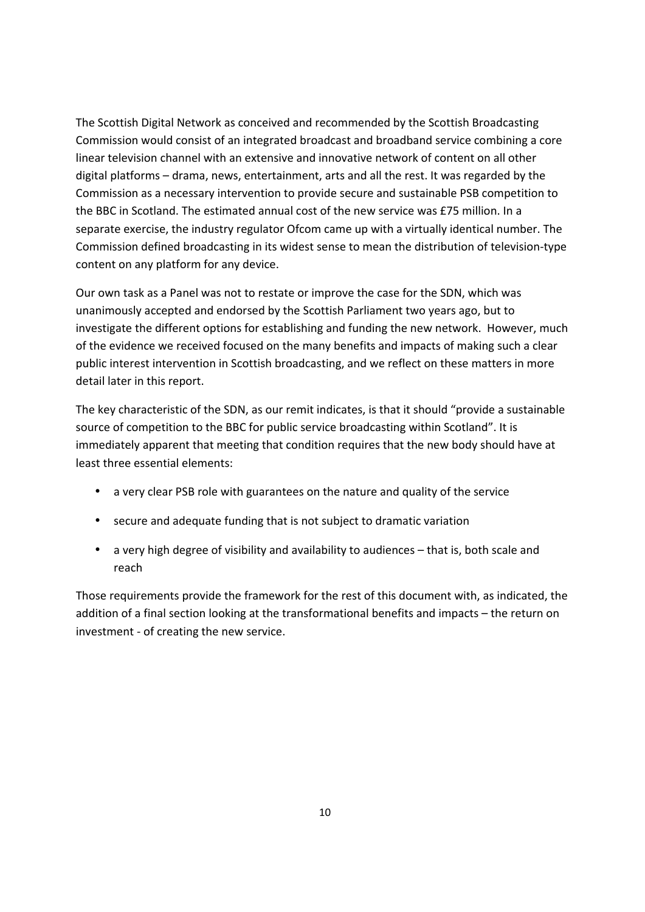The Scottish Digital Network as conceived and recommended by the Scottish Broadcasting Commission would consist of an integrated broadcast and broadband service combining a core linear television channel with an extensive and innovative network of content on all other digital platforms – drama, news, entertainment, arts and all the rest. It was regarded by the Commission as a necessary intervention to provide secure and sustainable PSB competition to the BBC in Scotland. The estimated annual cost of the new service was £75 million. In a separate exercise, the industry regulator Ofcom came up with a virtually identical number. The Commission defined broadcasting in its widest sense to mean the distribution of television-type content on any platform for any device.

Our own task as a Panel was not to restate or improve the case for the SDN, which was unanimously accepted and endorsed by the Scottish Parliament two years ago, but to investigate the different options for establishing and funding the new network. However, much of the evidence we received focused on the many benefits and impacts of making such a clear public interest intervention in Scottish broadcasting, and we reflect on these matters in more detail later in this report.

The key characteristic of the SDN, as our remit indicates, is that it should "provide a sustainable source of competition to the BBC for public service broadcasting within Scotland". It is immediately apparent that meeting that condition requires that the new body should have at least three essential elements:

- a very clear PSB role with guarantees on the nature and quality of the service
- secure and adequate funding that is not subject to dramatic variation
- a very high degree of visibility and availability to audiences that is, both scale and reach

Those requirements provide the framework for the rest of this document with, as indicated, the addition of a final section looking at the transformational benefits and impacts – the return on investment - of creating the new service.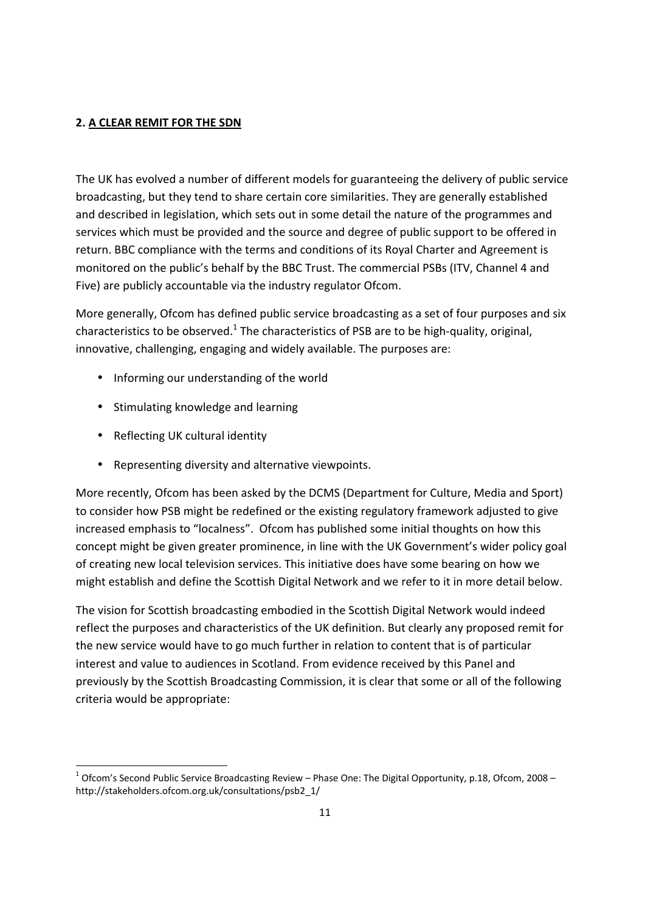# **2. A CLEAR REMIT FOR THE SDN**

The UK has evolved a number of different models for guaranteeing the delivery of public service broadcasting, but they tend to share certain core similarities. They are generally established and described in legislation, which sets out in some detail the nature of the programmes and services which must be provided and the source and degree of public support to be offered in return. BBC compliance with the terms and conditions of its Royal Charter and Agreement is monitored on the public's behalf by the BBC Trust. The commercial PSBs (ITV, Channel 4 and Five) are publicly accountable via the industry regulator Ofcom.

More generally, Ofcom has defined public service broadcasting as a set of four purposes and six characteristics to be observed.<sup>1</sup> The characteristics of PSB are to be high-quality, original, innovative, challenging, engaging and widely available. The purposes are:

- Informing our understanding of the world
- Stimulating knowledge and learning
- Reflecting UK cultural identity

1

• Representing diversity and alternative viewpoints.

More recently, Ofcom has been asked by the DCMS (Department for Culture, Media and Sport) to consider how PSB might be redefined or the existing regulatory framework adjusted to give increased emphasis to "localness". Ofcom has published some initial thoughts on how this concept might be given greater prominence, in line with the UK Government's wider policy goal of creating new local television services. This initiative does have some bearing on how we might establish and define the Scottish Digital Network and we refer to it in more detail below.

The vision for Scottish broadcasting embodied in the Scottish Digital Network would indeed reflect the purposes and characteristics of the UK definition. But clearly any proposed remit for the new service would have to go much further in relation to content that is of particular interest and value to audiences in Scotland. From evidence received by this Panel and previously by the Scottish Broadcasting Commission, it is clear that some or all of the following criteria would be appropriate:

 $^1$  Ofcom's Second Public Service Broadcasting Review – Phase One: The Digital Opportunity, p.18, Ofcom, 2008 – http://stakeholders.ofcom.org.uk/consultations/psb2\_1/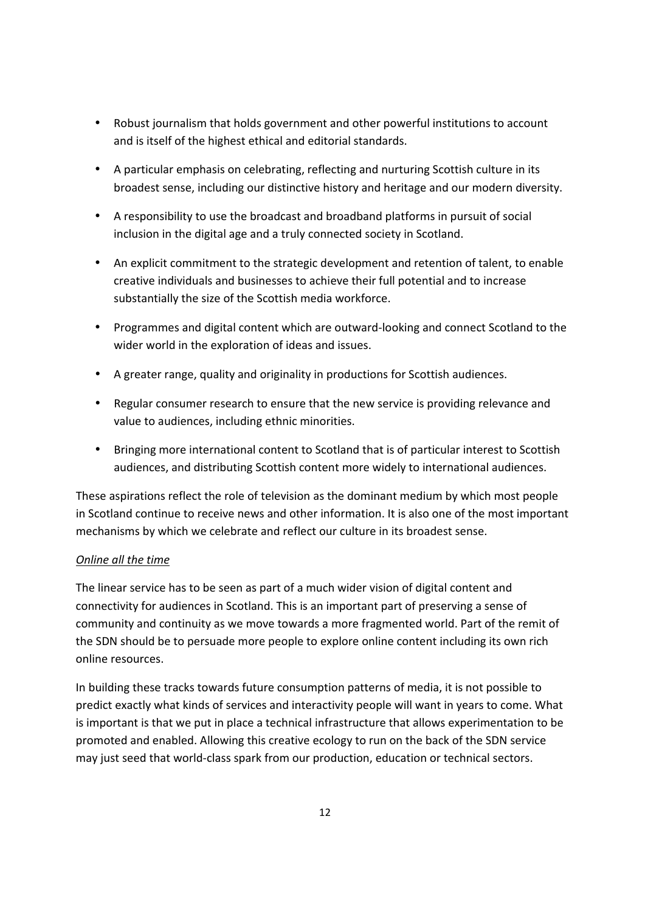- Robust journalism that holds government and other powerful institutions to account and is itself of the highest ethical and editorial standards.
- A particular emphasis on celebrating, reflecting and nurturing Scottish culture in its broadest sense, including our distinctive history and heritage and our modern diversity.
- A responsibility to use the broadcast and broadband platforms in pursuit of social inclusion in the digital age and a truly connected society in Scotland.
- An explicit commitment to the strategic development and retention of talent, to enable creative individuals and businesses to achieve their full potential and to increase substantially the size of the Scottish media workforce.
- Programmes and digital content which are outward-looking and connect Scotland to the wider world in the exploration of ideas and issues.
- A greater range, quality and originality in productions for Scottish audiences.
- Regular consumer research to ensure that the new service is providing relevance and value to audiences, including ethnic minorities.
- Bringing more international content to Scotland that is of particular interest to Scottish audiences, and distributing Scottish content more widely to international audiences.

These aspirations reflect the role of television as the dominant medium by which most people in Scotland continue to receive news and other information. It is also one of the most important mechanisms by which we celebrate and reflect our culture in its broadest sense.

# *Online all the time*

The linear service has to be seen as part of a much wider vision of digital content and connectivity for audiences in Scotland. This is an important part of preserving a sense of community and continuity as we move towards a more fragmented world. Part of the remit of the SDN should be to persuade more people to explore online content including its own rich online resources.

In building these tracks towards future consumption patterns of media, it is not possible to predict exactly what kinds of services and interactivity people will want in years to come. What is important is that we put in place a technical infrastructure that allows experimentation to be promoted and enabled. Allowing this creative ecology to run on the back of the SDN service may just seed that world-class spark from our production, education or technical sectors.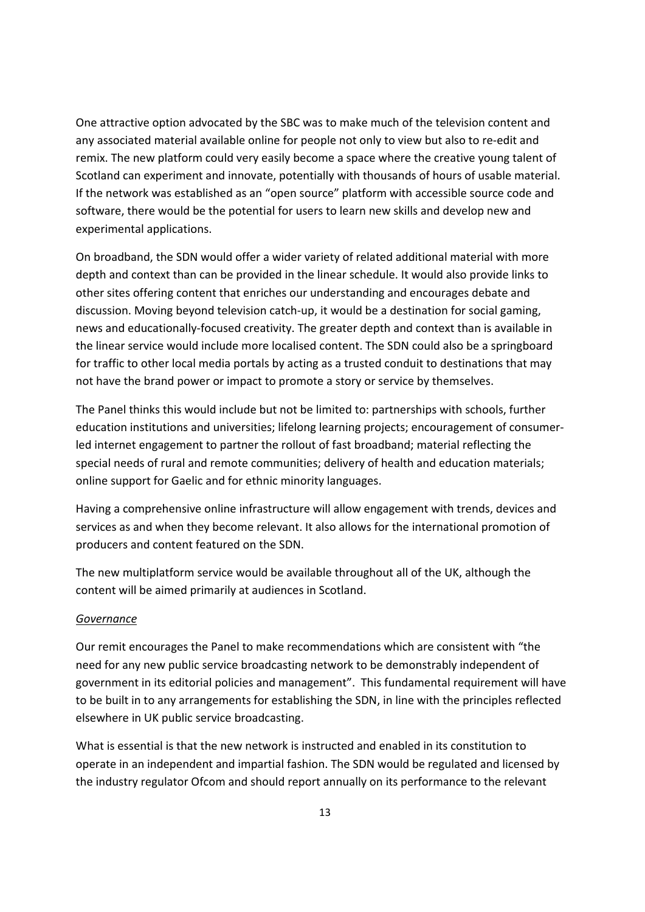One attractive option advocated by the SBC was to make much of the television content and any associated material available online for people not only to view but also to re-edit and remix. The new platform could very easily become a space where the creative young talent of Scotland can experiment and innovate, potentially with thousands of hours of usable material. If the network was established as an "open source" platform with accessible source code and software, there would be the potential for users to learn new skills and develop new and experimental applications.

On broadband, the SDN would offer a wider variety of related additional material with more depth and context than can be provided in the linear schedule. It would also provide links to other sites offering content that enriches our understanding and encourages debate and discussion. Moving beyond television catch-up, it would be a destination for social gaming, news and educationally-focused creativity. The greater depth and context than is available in the linear service would include more localised content. The SDN could also be a springboard for traffic to other local media portals by acting as a trusted conduit to destinations that may not have the brand power or impact to promote a story or service by themselves.

The Panel thinks this would include but not be limited to: partnerships with schools, further education institutions and universities; lifelong learning projects; encouragement of consumerled internet engagement to partner the rollout of fast broadband; material reflecting the special needs of rural and remote communities; delivery of health and education materials; online support for Gaelic and for ethnic minority languages.

Having a comprehensive online infrastructure will allow engagement with trends, devices and services as and when they become relevant. It also allows for the international promotion of producers and content featured on the SDN.

The new multiplatform service would be available throughout all of the UK, although the content will be aimed primarily at audiences in Scotland.

#### *Governance*

Our remit encourages the Panel to make recommendations which are consistent with "the need for any new public service broadcasting network to be demonstrably independent of government in its editorial policies and management". This fundamental requirement will have to be built in to any arrangements for establishing the SDN, in line with the principles reflected elsewhere in UK public service broadcasting.

What is essential is that the new network is instructed and enabled in its constitution to operate in an independent and impartial fashion. The SDN would be regulated and licensed by the industry regulator Ofcom and should report annually on its performance to the relevant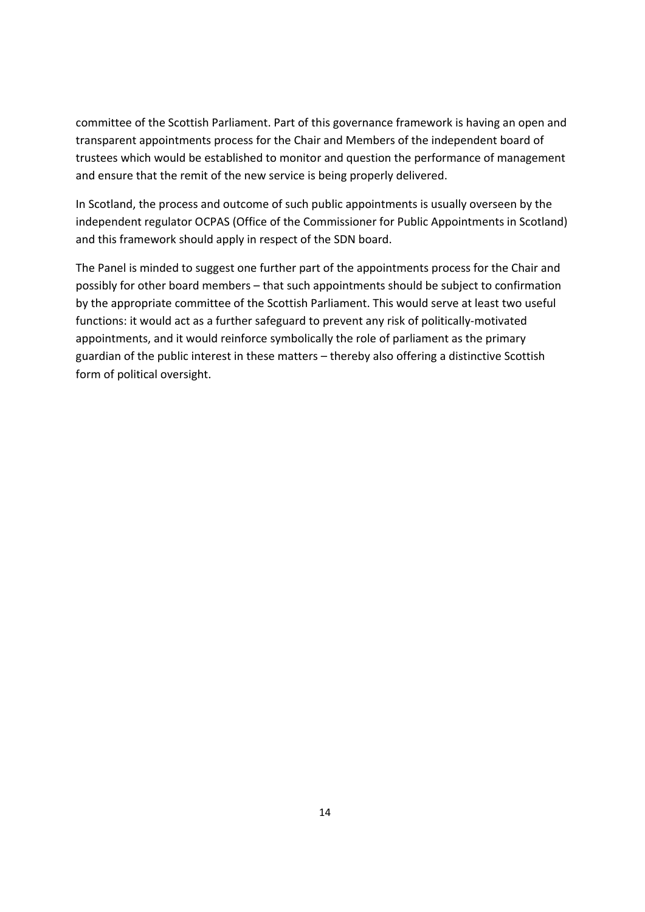committee of the Scottish Parliament. Part of this governance framework is having an open and transparent appointments process for the Chair and Members of the independent board of trustees which would be established to monitor and question the performance of management and ensure that the remit of the new service is being properly delivered.

In Scotland, the process and outcome of such public appointments is usually overseen by the independent regulator OCPAS (Office of the Commissioner for Public Appointments in Scotland) and this framework should apply in respect of the SDN board.

The Panel is minded to suggest one further part of the appointments process for the Chair and possibly for other board members – that such appointments should be subject to confirmation by the appropriate committee of the Scottish Parliament. This would serve at least two useful functions: it would act as a further safeguard to prevent any risk of politically-motivated appointments, and it would reinforce symbolically the role of parliament as the primary guardian of the public interest in these matters – thereby also offering a distinctive Scottish form of political oversight.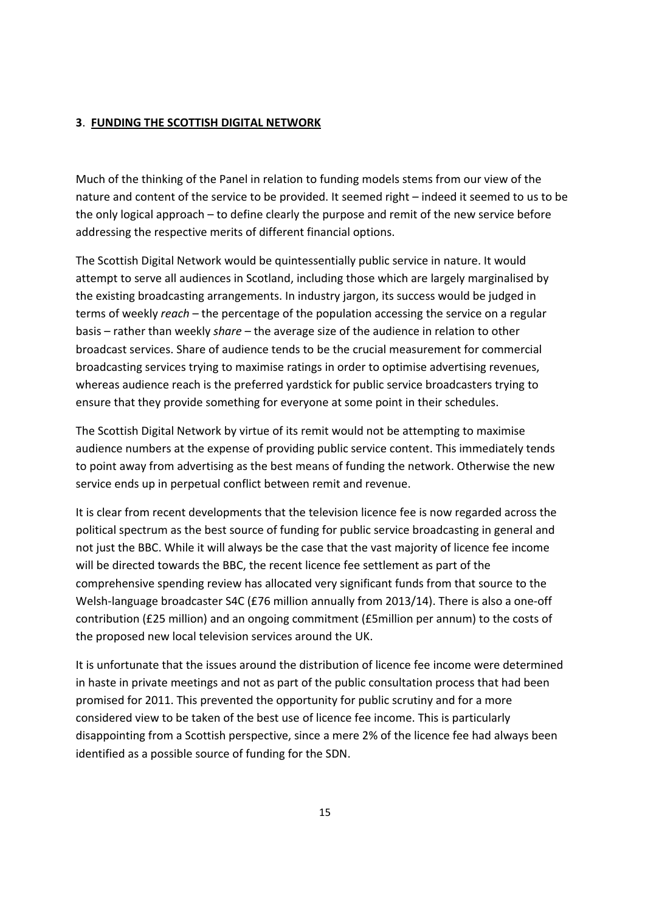#### **3**. **FUNDING THE SCOTTISH DIGITAL NETWORK**

Much of the thinking of the Panel in relation to funding models stems from our view of the nature and content of the service to be provided. It seemed right – indeed it seemed to us to be the only logical approach – to define clearly the purpose and remit of the new service before addressing the respective merits of different financial options.

The Scottish Digital Network would be quintessentially public service in nature. It would attempt to serve all audiences in Scotland, including those which are largely marginalised by the existing broadcasting arrangements. In industry jargon, its success would be judged in terms of weekly *reach* – the percentage of the population accessing the service on a regular basis – rather than weekly *share* – the average size of the audience in relation to other broadcast services. Share of audience tends to be the crucial measurement for commercial broadcasting services trying to maximise ratings in order to optimise advertising revenues, whereas audience reach is the preferred yardstick for public service broadcasters trying to ensure that they provide something for everyone at some point in their schedules.

The Scottish Digital Network by virtue of its remit would not be attempting to maximise audience numbers at the expense of providing public service content. This immediately tends to point away from advertising as the best means of funding the network. Otherwise the new service ends up in perpetual conflict between remit and revenue.

It is clear from recent developments that the television licence fee is now regarded across the political spectrum as the best source of funding for public service broadcasting in general and not just the BBC. While it will always be the case that the vast majority of licence fee income will be directed towards the BBC, the recent licence fee settlement as part of the comprehensive spending review has allocated very significant funds from that source to the Welsh-language broadcaster S4C (£76 million annually from 2013/14). There is also a one-off contribution (£25 million) and an ongoing commitment (£5million per annum) to the costs of the proposed new local television services around the UK.

It is unfortunate that the issues around the distribution of licence fee income were determined in haste in private meetings and not as part of the public consultation process that had been promised for 2011. This prevented the opportunity for public scrutiny and for a more considered view to be taken of the best use of licence fee income. This is particularly disappointing from a Scottish perspective, since a mere 2% of the licence fee had always been identified as a possible source of funding for the SDN.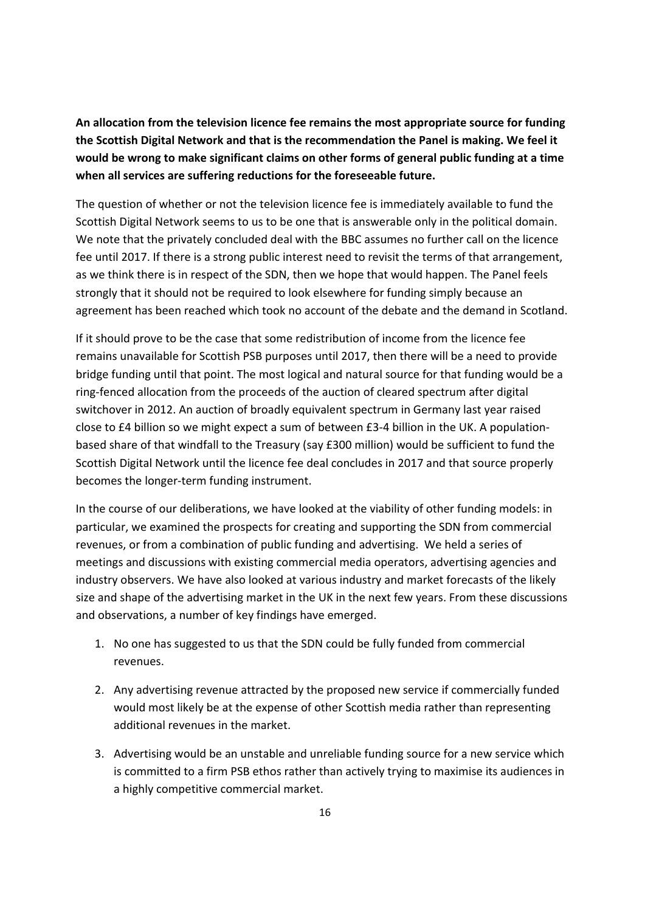**An allocation from the television licence fee remains the most appropriate source for funding the Scottish Digital Network and that is the recommendation the Panel is making. We feel it would be wrong to make significant claims on other forms of general public funding at a time when all services are suffering reductions for the foreseeable future.** 

The question of whether or not the television licence fee is immediately available to fund the Scottish Digital Network seems to us to be one that is answerable only in the political domain. We note that the privately concluded deal with the BBC assumes no further call on the licence fee until 2017. If there is a strong public interest need to revisit the terms of that arrangement, as we think there is in respect of the SDN, then we hope that would happen. The Panel feels strongly that it should not be required to look elsewhere for funding simply because an agreement has been reached which took no account of the debate and the demand in Scotland.

If it should prove to be the case that some redistribution of income from the licence fee remains unavailable for Scottish PSB purposes until 2017, then there will be a need to provide bridge funding until that point. The most logical and natural source for that funding would be a ring-fenced allocation from the proceeds of the auction of cleared spectrum after digital switchover in 2012. An auction of broadly equivalent spectrum in Germany last year raised close to £4 billion so we might expect a sum of between £3-4 billion in the UK. A populationbased share of that windfall to the Treasury (say £300 million) would be sufficient to fund the Scottish Digital Network until the licence fee deal concludes in 2017 and that source properly becomes the longer-term funding instrument.

In the course of our deliberations, we have looked at the viability of other funding models: in particular, we examined the prospects for creating and supporting the SDN from commercial revenues, or from a combination of public funding and advertising. We held a series of meetings and discussions with existing commercial media operators, advertising agencies and industry observers. We have also looked at various industry and market forecasts of the likely size and shape of the advertising market in the UK in the next few years. From these discussions and observations, a number of key findings have emerged.

- 1. No one has suggested to us that the SDN could be fully funded from commercial revenues.
- 2. Any advertising revenue attracted by the proposed new service if commercially funded would most likely be at the expense of other Scottish media rather than representing additional revenues in the market.
- 3. Advertising would be an unstable and unreliable funding source for a new service which is committed to a firm PSB ethos rather than actively trying to maximise its audiences in a highly competitive commercial market.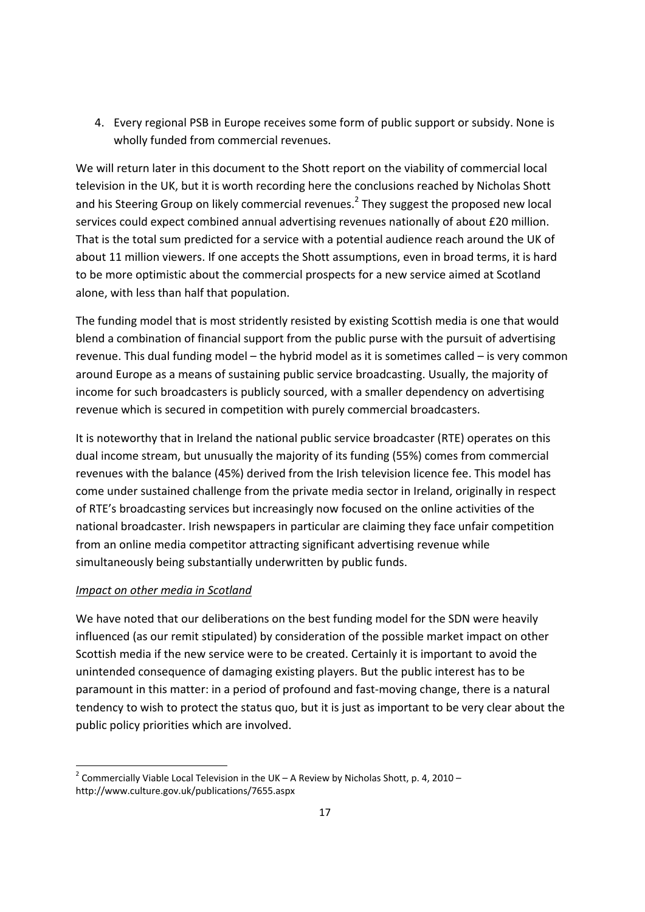4. Every regional PSB in Europe receives some form of public support or subsidy. None is wholly funded from commercial revenues.

We will return later in this document to the Shott report on the viability of commercial local television in the UK, but it is worth recording here the conclusions reached by Nicholas Shott and his Steering Group on likely commercial revenues.<sup>2</sup> They suggest the proposed new local services could expect combined annual advertising revenues nationally of about £20 million. That is the total sum predicted for a service with a potential audience reach around the UK of about 11 million viewers. If one accepts the Shott assumptions, even in broad terms, it is hard to be more optimistic about the commercial prospects for a new service aimed at Scotland alone, with less than half that population.

The funding model that is most stridently resisted by existing Scottish media is one that would blend a combination of financial support from the public purse with the pursuit of advertising revenue. This dual funding model – the hybrid model as it is sometimes called – is very common around Europe as a means of sustaining public service broadcasting. Usually, the majority of income for such broadcasters is publicly sourced, with a smaller dependency on advertising revenue which is secured in competition with purely commercial broadcasters.

It is noteworthy that in Ireland the national public service broadcaster (RTE) operates on this dual income stream, but unusually the majority of its funding (55%) comes from commercial revenues with the balance (45%) derived from the Irish television licence fee. This model has come under sustained challenge from the private media sector in Ireland, originally in respect of RTE's broadcasting services but increasingly now focused on the online activities of the national broadcaster. Irish newspapers in particular are claiming they face unfair competition from an online media competitor attracting significant advertising revenue while simultaneously being substantially underwritten by public funds.

# *Impact on other media in Scotland*

1

We have noted that our deliberations on the best funding model for the SDN were heavily influenced (as our remit stipulated) by consideration of the possible market impact on other Scottish media if the new service were to be created. Certainly it is important to avoid the unintended consequence of damaging existing players. But the public interest has to be paramount in this matter: in a period of profound and fast-moving change, there is a natural tendency to wish to protect the status quo, but it is just as important to be very clear about the public policy priorities which are involved.

<sup>&</sup>lt;sup>2</sup> Commercially Viable Local Television in the UK – A Review by Nicholas Shott, p. 4, 2010 – http://www.culture.gov.uk/publications/7655.aspx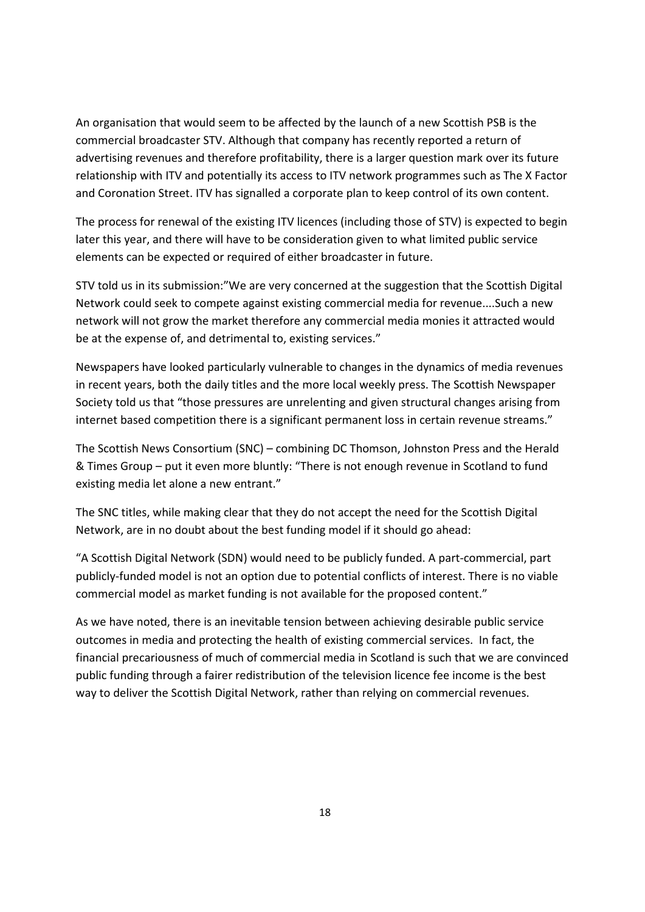An organisation that would seem to be affected by the launch of a new Scottish PSB is the commercial broadcaster STV. Although that company has recently reported a return of advertising revenues and therefore profitability, there is a larger question mark over its future relationship with ITV and potentially its access to ITV network programmes such as The X Factor and Coronation Street. ITV has signalled a corporate plan to keep control of its own content.

The process for renewal of the existing ITV licences (including those of STV) is expected to begin later this year, and there will have to be consideration given to what limited public service elements can be expected or required of either broadcaster in future.

STV told us in its submission:"We are very concerned at the suggestion that the Scottish Digital Network could seek to compete against existing commercial media for revenue....Such a new network will not grow the market therefore any commercial media monies it attracted would be at the expense of, and detrimental to, existing services."

Newspapers have looked particularly vulnerable to changes in the dynamics of media revenues in recent years, both the daily titles and the more local weekly press. The Scottish Newspaper Society told us that "those pressures are unrelenting and given structural changes arising from internet based competition there is a significant permanent loss in certain revenue streams."

The Scottish News Consortium (SNC) – combining DC Thomson, Johnston Press and the Herald & Times Group – put it even more bluntly: "There is not enough revenue in Scotland to fund existing media let alone a new entrant."

The SNC titles, while making clear that they do not accept the need for the Scottish Digital Network, are in no doubt about the best funding model if it should go ahead:

"A Scottish Digital Network (SDN) would need to be publicly funded. A part-commercial, part publicly-funded model is not an option due to potential conflicts of interest. There is no viable commercial model as market funding is not available for the proposed content."

As we have noted, there is an inevitable tension between achieving desirable public service outcomes in media and protecting the health of existing commercial services. In fact, the financial precariousness of much of commercial media in Scotland is such that we are convinced public funding through a fairer redistribution of the television licence fee income is the best way to deliver the Scottish Digital Network, rather than relying on commercial revenues.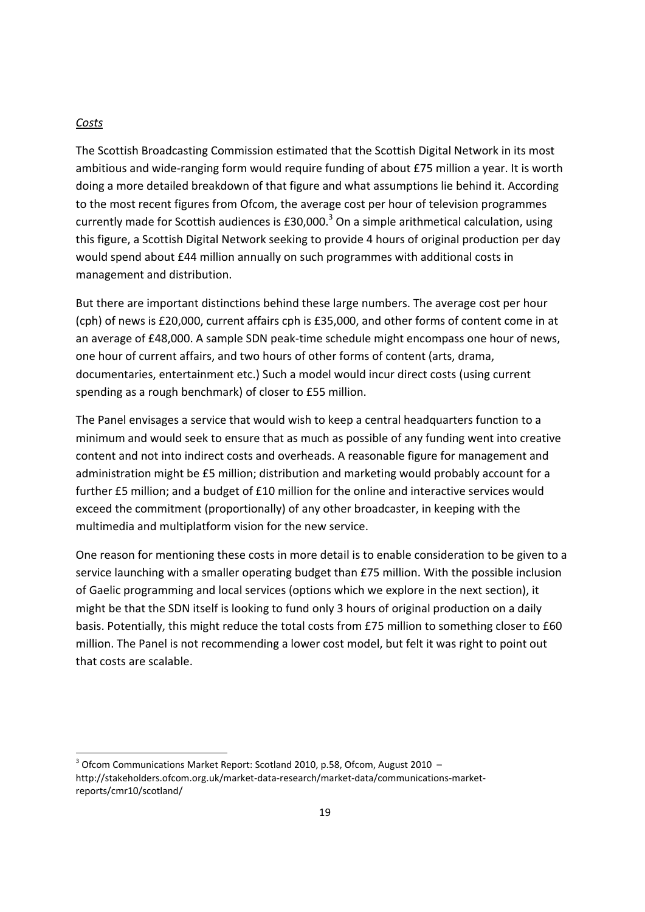#### *Costs*

1

The Scottish Broadcasting Commission estimated that the Scottish Digital Network in its most ambitious and wide-ranging form would require funding of about £75 million a year. It is worth doing a more detailed breakdown of that figure and what assumptions lie behind it. According to the most recent figures from Ofcom, the average cost per hour of television programmes currently made for Scottish audiences is £30,000.<sup>3</sup> On a simple arithmetical calculation, using this figure, a Scottish Digital Network seeking to provide 4 hours of original production per day would spend about £44 million annually on such programmes with additional costs in management and distribution.

But there are important distinctions behind these large numbers. The average cost per hour (cph) of news is £20,000, current affairs cph is £35,000, and other forms of content come in at an average of £48,000. A sample SDN peak-time schedule might encompass one hour of news, one hour of current affairs, and two hours of other forms of content (arts, drama, documentaries, entertainment etc.) Such a model would incur direct costs (using current spending as a rough benchmark) of closer to £55 million.

The Panel envisages a service that would wish to keep a central headquarters function to a minimum and would seek to ensure that as much as possible of any funding went into creative content and not into indirect costs and overheads. A reasonable figure for management and administration might be £5 million; distribution and marketing would probably account for a further £5 million; and a budget of £10 million for the online and interactive services would exceed the commitment (proportionally) of any other broadcaster, in keeping with the multimedia and multiplatform vision for the new service.

One reason for mentioning these costs in more detail is to enable consideration to be given to a service launching with a smaller operating budget than £75 million. With the possible inclusion of Gaelic programming and local services (options which we explore in the next section), it might be that the SDN itself is looking to fund only 3 hours of original production on a daily basis. Potentially, this might reduce the total costs from £75 million to something closer to £60 million. The Panel is not recommending a lower cost model, but felt it was right to point out that costs are scalable.

 $3$  Ofcom Communications Market Report: Scotland 2010, p.58, Ofcom, August 2010  $$ http://stakeholders.ofcom.org.uk/market-data-research/market-data/communications-marketreports/cmr10/scotland/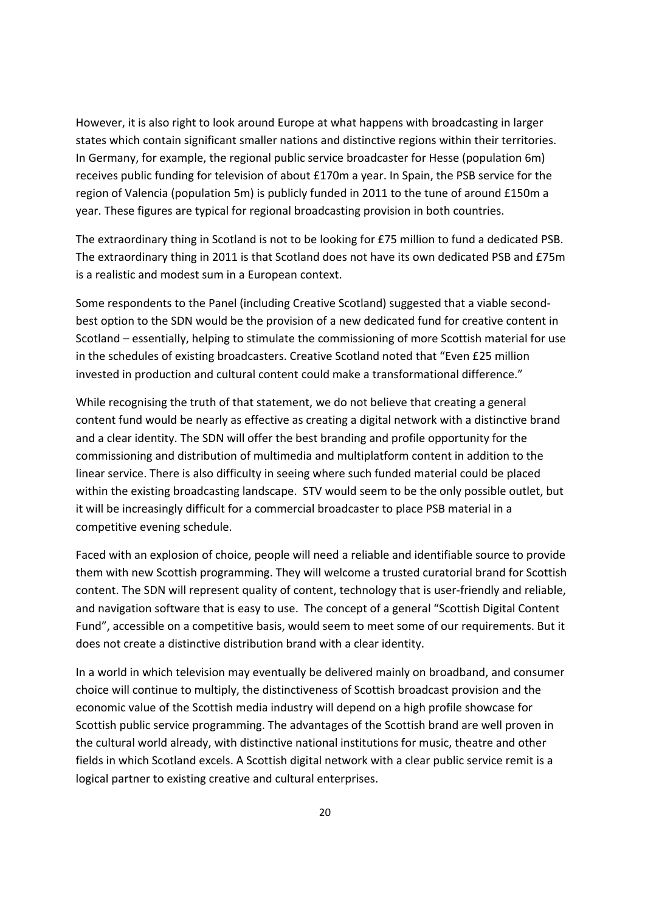However, it is also right to look around Europe at what happens with broadcasting in larger states which contain significant smaller nations and distinctive regions within their territories. In Germany, for example, the regional public service broadcaster for Hesse (population 6m) receives public funding for television of about £170m a year. In Spain, the PSB service for the region of Valencia (population 5m) is publicly funded in 2011 to the tune of around £150m a year. These figures are typical for regional broadcasting provision in both countries.

The extraordinary thing in Scotland is not to be looking for £75 million to fund a dedicated PSB. The extraordinary thing in 2011 is that Scotland does not have its own dedicated PSB and £75m is a realistic and modest sum in a European context.

Some respondents to the Panel (including Creative Scotland) suggested that a viable secondbest option to the SDN would be the provision of a new dedicated fund for creative content in Scotland – essentially, helping to stimulate the commissioning of more Scottish material for use in the schedules of existing broadcasters. Creative Scotland noted that "Even £25 million invested in production and cultural content could make a transformational difference."

While recognising the truth of that statement, we do not believe that creating a general content fund would be nearly as effective as creating a digital network with a distinctive brand and a clear identity. The SDN will offer the best branding and profile opportunity for the commissioning and distribution of multimedia and multiplatform content in addition to the linear service. There is also difficulty in seeing where such funded material could be placed within the existing broadcasting landscape. STV would seem to be the only possible outlet, but it will be increasingly difficult for a commercial broadcaster to place PSB material in a competitive evening schedule.

Faced with an explosion of choice, people will need a reliable and identifiable source to provide them with new Scottish programming. They will welcome a trusted curatorial brand for Scottish content. The SDN will represent quality of content, technology that is user-friendly and reliable, and navigation software that is easy to use. The concept of a general "Scottish Digital Content Fund", accessible on a competitive basis, would seem to meet some of our requirements. But it does not create a distinctive distribution brand with a clear identity.

In a world in which television may eventually be delivered mainly on broadband, and consumer choice will continue to multiply, the distinctiveness of Scottish broadcast provision and the economic value of the Scottish media industry will depend on a high profile showcase for Scottish public service programming. The advantages of the Scottish brand are well proven in the cultural world already, with distinctive national institutions for music, theatre and other fields in which Scotland excels. A Scottish digital network with a clear public service remit is a logical partner to existing creative and cultural enterprises.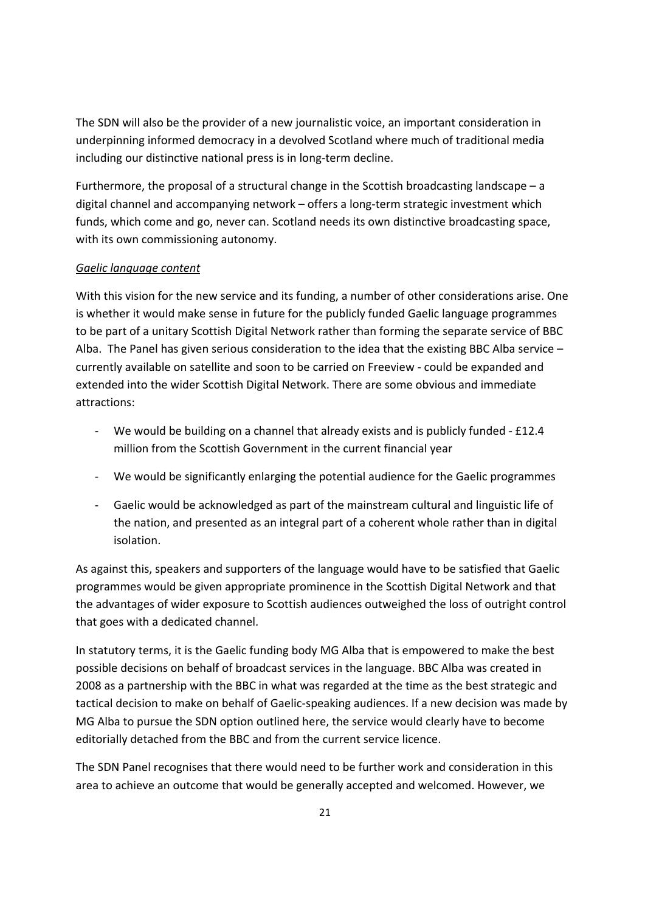The SDN will also be the provider of a new journalistic voice, an important consideration in underpinning informed democracy in a devolved Scotland where much of traditional media including our distinctive national press is in long-term decline.

Furthermore, the proposal of a structural change in the Scottish broadcasting landscape – a digital channel and accompanying network – offers a long-term strategic investment which funds, which come and go, never can. Scotland needs its own distinctive broadcasting space, with its own commissioning autonomy.

### *Gaelic language content*

With this vision for the new service and its funding, a number of other considerations arise. One is whether it would make sense in future for the publicly funded Gaelic language programmes to be part of a unitary Scottish Digital Network rather than forming the separate service of BBC Alba. The Panel has given serious consideration to the idea that the existing BBC Alba service – currently available on satellite and soon to be carried on Freeview - could be expanded and extended into the wider Scottish Digital Network. There are some obvious and immediate attractions:

- We would be building on a channel that already exists and is publicly funded £12.4 million from the Scottish Government in the current financial year
- We would be significantly enlarging the potential audience for the Gaelic programmes
- Gaelic would be acknowledged as part of the mainstream cultural and linguistic life of the nation, and presented as an integral part of a coherent whole rather than in digital isolation.

As against this, speakers and supporters of the language would have to be satisfied that Gaelic programmes would be given appropriate prominence in the Scottish Digital Network and that the advantages of wider exposure to Scottish audiences outweighed the loss of outright control that goes with a dedicated channel.

In statutory terms, it is the Gaelic funding body MG Alba that is empowered to make the best possible decisions on behalf of broadcast services in the language. BBC Alba was created in 2008 as a partnership with the BBC in what was regarded at the time as the best strategic and tactical decision to make on behalf of Gaelic-speaking audiences. If a new decision was made by MG Alba to pursue the SDN option outlined here, the service would clearly have to become editorially detached from the BBC and from the current service licence.

The SDN Panel recognises that there would need to be further work and consideration in this area to achieve an outcome that would be generally accepted and welcomed. However, we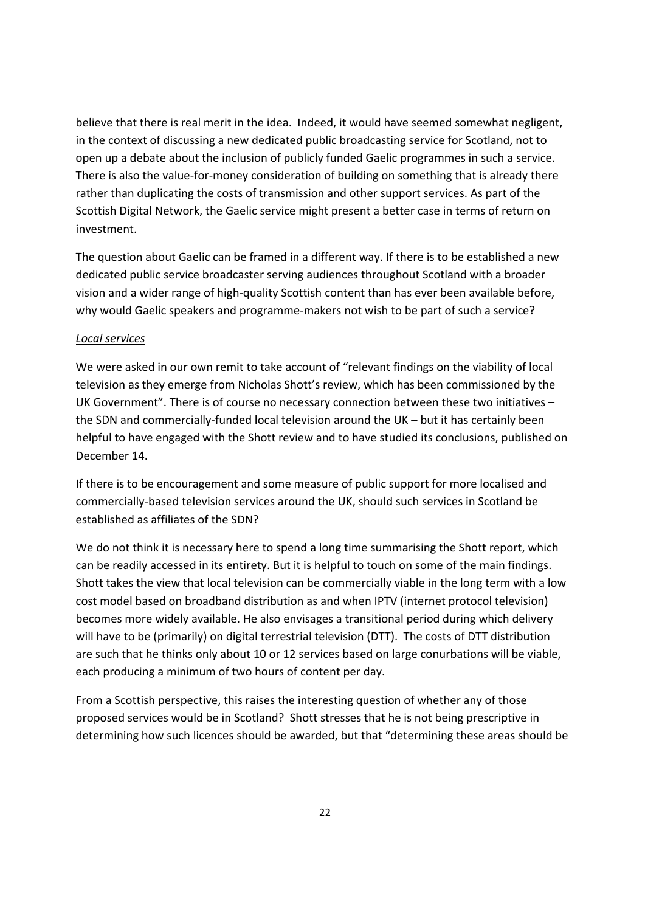believe that there is real merit in the idea. Indeed, it would have seemed somewhat negligent, in the context of discussing a new dedicated public broadcasting service for Scotland, not to open up a debate about the inclusion of publicly funded Gaelic programmes in such a service. There is also the value-for-money consideration of building on something that is already there rather than duplicating the costs of transmission and other support services. As part of the Scottish Digital Network, the Gaelic service might present a better case in terms of return on investment.

The question about Gaelic can be framed in a different way. If there is to be established a new dedicated public service broadcaster serving audiences throughout Scotland with a broader vision and a wider range of high-quality Scottish content than has ever been available before, why would Gaelic speakers and programme-makers not wish to be part of such a service?

### *Local services*

We were asked in our own remit to take account of "relevant findings on the viability of local television as they emerge from Nicholas Shott's review, which has been commissioned by the UK Government". There is of course no necessary connection between these two initiatives – the SDN and commercially-funded local television around the UK – but it has certainly been helpful to have engaged with the Shott review and to have studied its conclusions, published on December 14.

If there is to be encouragement and some measure of public support for more localised and commercially-based television services around the UK, should such services in Scotland be established as affiliates of the SDN?

We do not think it is necessary here to spend a long time summarising the Shott report, which can be readily accessed in its entirety. But it is helpful to touch on some of the main findings. Shott takes the view that local television can be commercially viable in the long term with a low cost model based on broadband distribution as and when IPTV (internet protocol television) becomes more widely available. He also envisages a transitional period during which delivery will have to be (primarily) on digital terrestrial television (DTT). The costs of DTT distribution are such that he thinks only about 10 or 12 services based on large conurbations will be viable, each producing a minimum of two hours of content per day.

From a Scottish perspective, this raises the interesting question of whether any of those proposed services would be in Scotland? Shott stresses that he is not being prescriptive in determining how such licences should be awarded, but that "determining these areas should be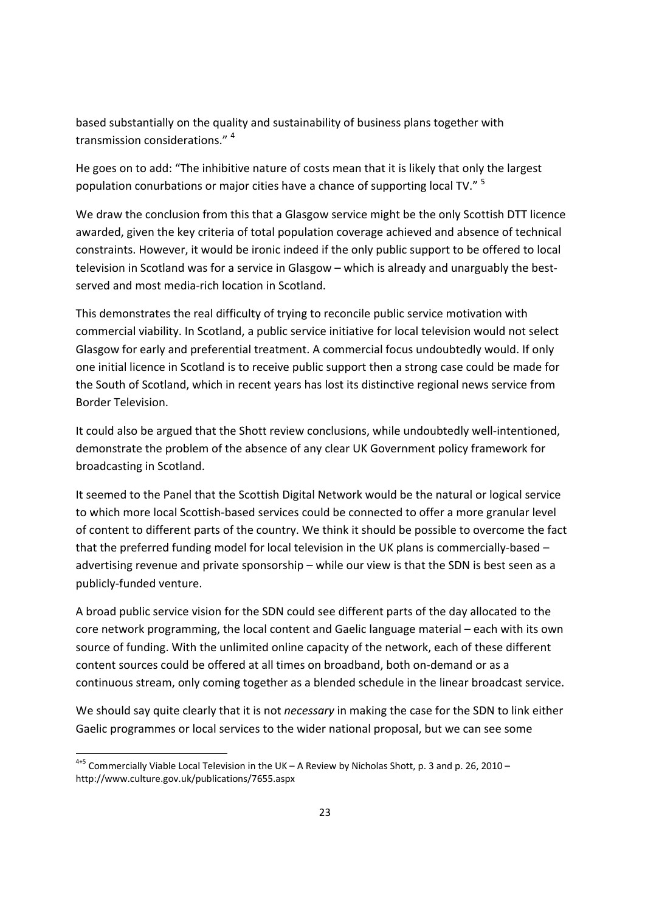based substantially on the quality and sustainability of business plans together with transmission considerations." <sup>4</sup>

He goes on to add: "The inhibitive nature of costs mean that it is likely that only the largest population conurbations or major cities have a chance of supporting local TV." <sup>5</sup>

We draw the conclusion from this that a Glasgow service might be the only Scottish DTT licence awarded, given the key criteria of total population coverage achieved and absence of technical constraints. However, it would be ironic indeed if the only public support to be offered to local television in Scotland was for a service in Glasgow – which is already and unarguably the bestserved and most media-rich location in Scotland.

This demonstrates the real difficulty of trying to reconcile public service motivation with commercial viability. In Scotland, a public service initiative for local television would not select Glasgow for early and preferential treatment. A commercial focus undoubtedly would. If only one initial licence in Scotland is to receive public support then a strong case could be made for the South of Scotland, which in recent years has lost its distinctive regional news service from Border Television.

It could also be argued that the Shott review conclusions, while undoubtedly well-intentioned, demonstrate the problem of the absence of any clear UK Government policy framework for broadcasting in Scotland.

It seemed to the Panel that the Scottish Digital Network would be the natural or logical service to which more local Scottish-based services could be connected to offer a more granular level of content to different parts of the country. We think it should be possible to overcome the fact that the preferred funding model for local television in the UK plans is commercially-based – advertising revenue and private sponsorship – while our view is that the SDN is best seen as a publicly-funded venture.

A broad public service vision for the SDN could see different parts of the day allocated to the core network programming, the local content and Gaelic language material – each with its own source of funding. With the unlimited online capacity of the network, each of these different content sources could be offered at all times on broadband, both on-demand or as a continuous stream, only coming together as a blended schedule in the linear broadcast service.

We should say quite clearly that it is not *necessary* in making the case for the SDN to link either Gaelic programmes or local services to the wider national proposal, but we can see some

1

 $4+5$  Commercially Viable Local Television in the UK – A Review by Nicholas Shott, p. 3 and p. 26, 2010 – http://www.culture.gov.uk/publications/7655.aspx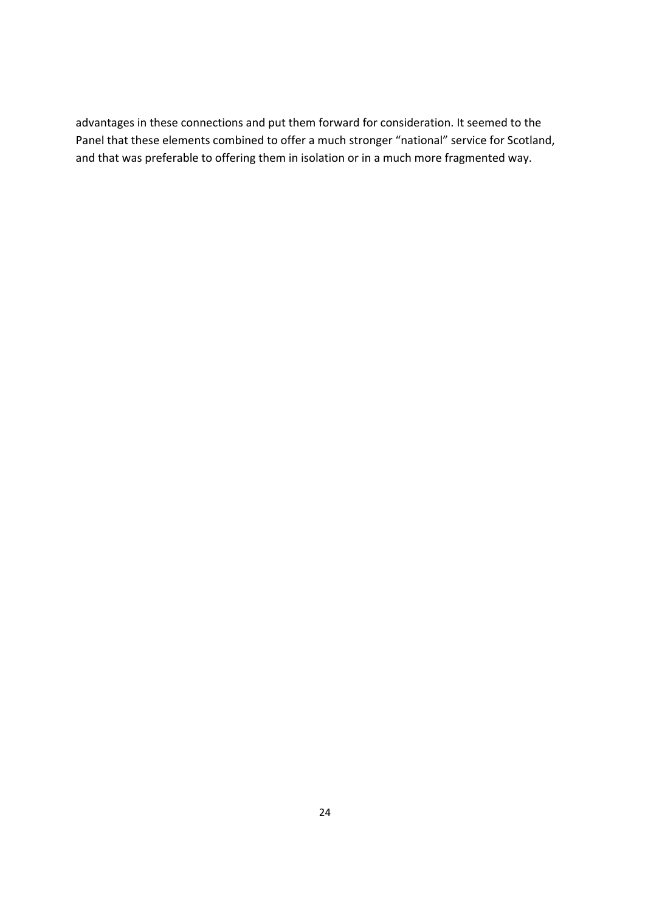advantages in these connections and put them forward for consideration. It seemed to the Panel that these elements combined to offer a much stronger "national" service for Scotland, and that was preferable to offering them in isolation or in a much more fragmented way.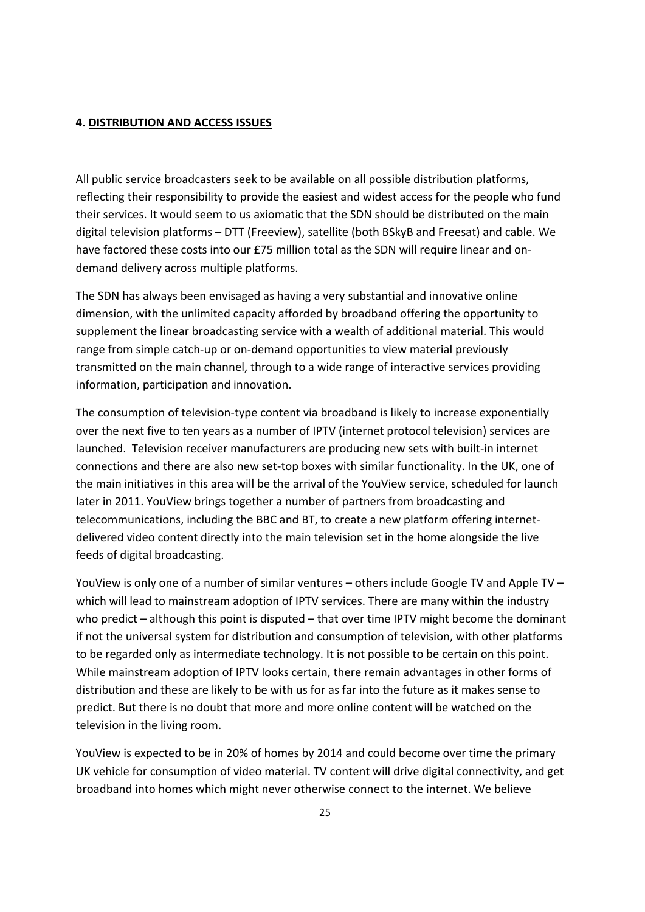#### **4. DISTRIBUTION AND ACCESS ISSUES**

All public service broadcasters seek to be available on all possible distribution platforms, reflecting their responsibility to provide the easiest and widest access for the people who fund their services. It would seem to us axiomatic that the SDN should be distributed on the main digital television platforms – DTT (Freeview), satellite (both BSkyB and Freesat) and cable. We have factored these costs into our £75 million total as the SDN will require linear and ondemand delivery across multiple platforms.

The SDN has always been envisaged as having a very substantial and innovative online dimension, with the unlimited capacity afforded by broadband offering the opportunity to supplement the linear broadcasting service with a wealth of additional material. This would range from simple catch-up or on-demand opportunities to view material previously transmitted on the main channel, through to a wide range of interactive services providing information, participation and innovation.

The consumption of television-type content via broadband is likely to increase exponentially over the next five to ten years as a number of IPTV (internet protocol television) services are launched. Television receiver manufacturers are producing new sets with built-in internet connections and there are also new set-top boxes with similar functionality. In the UK, one of the main initiatives in this area will be the arrival of the YouView service, scheduled for launch later in 2011. YouView brings together a number of partners from broadcasting and telecommunications, including the BBC and BT, to create a new platform offering internetdelivered video content directly into the main television set in the home alongside the live feeds of digital broadcasting.

YouView is only one of a number of similar ventures – others include Google TV and Apple TV – which will lead to mainstream adoption of IPTV services. There are many within the industry who predict – although this point is disputed – that over time IPTV might become the dominant if not the universal system for distribution and consumption of television, with other platforms to be regarded only as intermediate technology. It is not possible to be certain on this point. While mainstream adoption of IPTV looks certain, there remain advantages in other forms of distribution and these are likely to be with us for as far into the future as it makes sense to predict. But there is no doubt that more and more online content will be watched on the television in the living room.

YouView is expected to be in 20% of homes by 2014 and could become over time the primary UK vehicle for consumption of video material. TV content will drive digital connectivity, and get broadband into homes which might never otherwise connect to the internet. We believe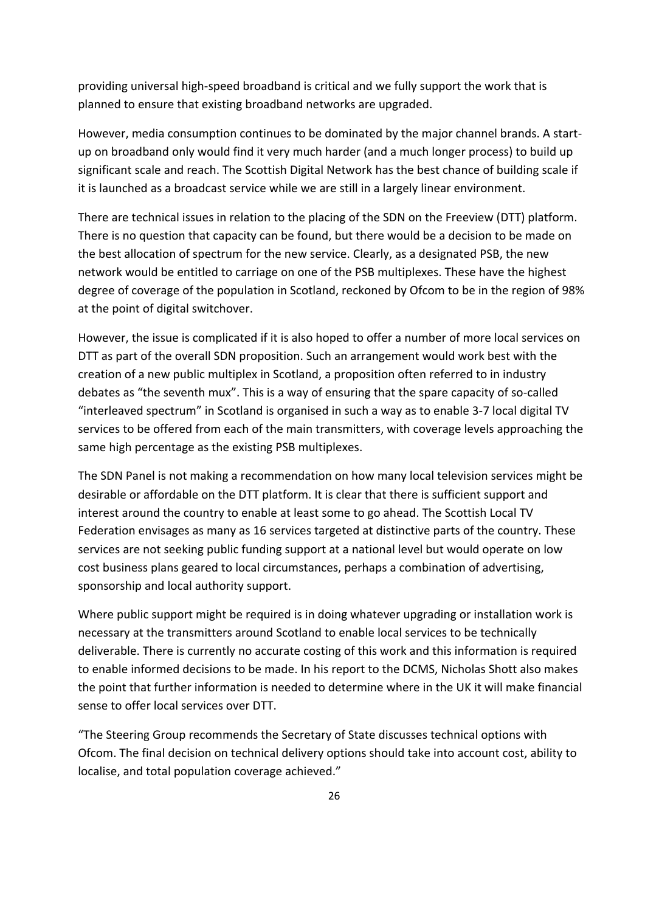providing universal high-speed broadband is critical and we fully support the work that is planned to ensure that existing broadband networks are upgraded.

However, media consumption continues to be dominated by the major channel brands. A startup on broadband only would find it very much harder (and a much longer process) to build up significant scale and reach. The Scottish Digital Network has the best chance of building scale if it is launched as a broadcast service while we are still in a largely linear environment.

There are technical issues in relation to the placing of the SDN on the Freeview (DTT) platform. There is no question that capacity can be found, but there would be a decision to be made on the best allocation of spectrum for the new service. Clearly, as a designated PSB, the new network would be entitled to carriage on one of the PSB multiplexes. These have the highest degree of coverage of the population in Scotland, reckoned by Ofcom to be in the region of 98% at the point of digital switchover.

However, the issue is complicated if it is also hoped to offer a number of more local services on DTT as part of the overall SDN proposition. Such an arrangement would work best with the creation of a new public multiplex in Scotland, a proposition often referred to in industry debates as "the seventh mux". This is a way of ensuring that the spare capacity of so-called "interleaved spectrum" in Scotland is organised in such a way as to enable 3-7 local digital TV services to be offered from each of the main transmitters, with coverage levels approaching the same high percentage as the existing PSB multiplexes.

The SDN Panel is not making a recommendation on how many local television services might be desirable or affordable on the DTT platform. It is clear that there is sufficient support and interest around the country to enable at least some to go ahead. The Scottish Local TV Federation envisages as many as 16 services targeted at distinctive parts of the country. These services are not seeking public funding support at a national level but would operate on low cost business plans geared to local circumstances, perhaps a combination of advertising, sponsorship and local authority support.

Where public support might be required is in doing whatever upgrading or installation work is necessary at the transmitters around Scotland to enable local services to be technically deliverable. There is currently no accurate costing of this work and this information is required to enable informed decisions to be made. In his report to the DCMS, Nicholas Shott also makes the point that further information is needed to determine where in the UK it will make financial sense to offer local services over DTT.

"The Steering Group recommends the Secretary of State discusses technical options with Ofcom. The final decision on technical delivery options should take into account cost, ability to localise, and total population coverage achieved."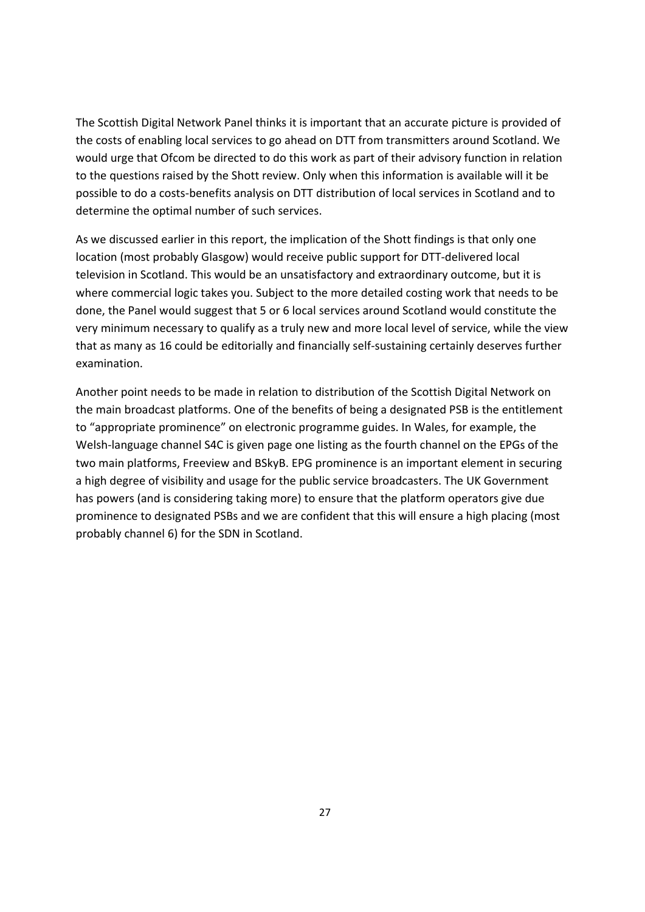The Scottish Digital Network Panel thinks it is important that an accurate picture is provided of the costs of enabling local services to go ahead on DTT from transmitters around Scotland. We would urge that Ofcom be directed to do this work as part of their advisory function in relation to the questions raised by the Shott review. Only when this information is available will it be possible to do a costs-benefits analysis on DTT distribution of local services in Scotland and to determine the optimal number of such services.

As we discussed earlier in this report, the implication of the Shott findings is that only one location (most probably Glasgow) would receive public support for DTT-delivered local television in Scotland. This would be an unsatisfactory and extraordinary outcome, but it is where commercial logic takes you. Subject to the more detailed costing work that needs to be done, the Panel would suggest that 5 or 6 local services around Scotland would constitute the very minimum necessary to qualify as a truly new and more local level of service, while the view that as many as 16 could be editorially and financially self-sustaining certainly deserves further examination.

Another point needs to be made in relation to distribution of the Scottish Digital Network on the main broadcast platforms. One of the benefits of being a designated PSB is the entitlement to "appropriate prominence" on electronic programme guides. In Wales, for example, the Welsh-language channel S4C is given page one listing as the fourth channel on the EPGs of the two main platforms, Freeview and BSkyB. EPG prominence is an important element in securing a high degree of visibility and usage for the public service broadcasters. The UK Government has powers (and is considering taking more) to ensure that the platform operators give due prominence to designated PSBs and we are confident that this will ensure a high placing (most probably channel 6) for the SDN in Scotland.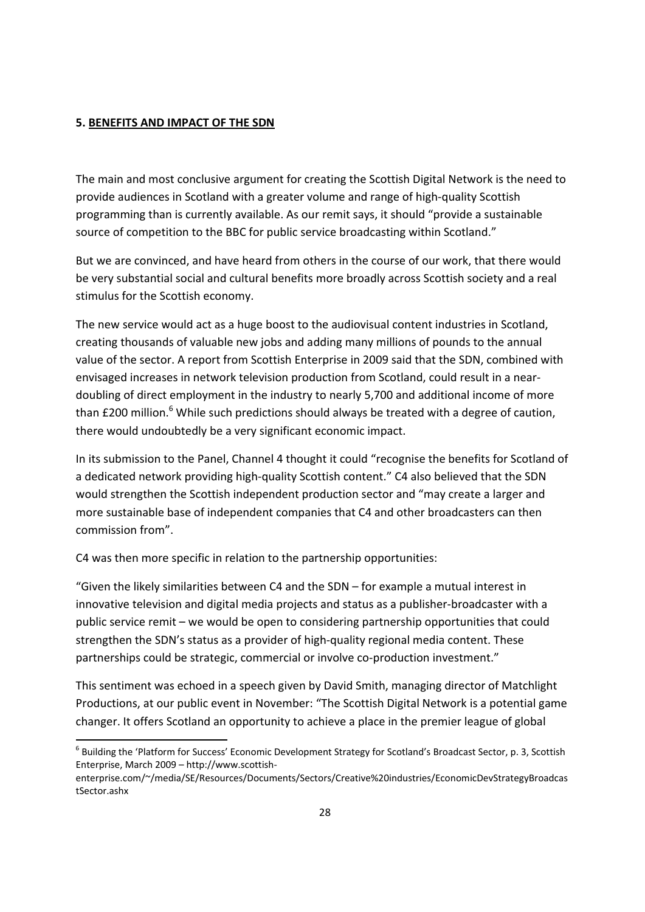#### **5. BENEFITS AND IMPACT OF THE SDN**

The main and most conclusive argument for creating the Scottish Digital Network is the need to provide audiences in Scotland with a greater volume and range of high-quality Scottish programming than is currently available. As our remit says, it should "provide a sustainable source of competition to the BBC for public service broadcasting within Scotland."

But we are convinced, and have heard from others in the course of our work, that there would be very substantial social and cultural benefits more broadly across Scottish society and a real stimulus for the Scottish economy.

The new service would act as a huge boost to the audiovisual content industries in Scotland, creating thousands of valuable new jobs and adding many millions of pounds to the annual value of the sector. A report from Scottish Enterprise in 2009 said that the SDN, combined with envisaged increases in network television production from Scotland, could result in a neardoubling of direct employment in the industry to nearly 5,700 and additional income of more than £200 million.<sup>6</sup> While such predictions should always be treated with a degree of caution, there would undoubtedly be a very significant economic impact.

In its submission to the Panel, Channel 4 thought it could "recognise the benefits for Scotland of a dedicated network providing high-quality Scottish content." C4 also believed that the SDN would strengthen the Scottish independent production sector and "may create a larger and more sustainable base of independent companies that C4 and other broadcasters can then commission from".

C4 was then more specific in relation to the partnership opportunities:

1

"Given the likely similarities between C4 and the SDN – for example a mutual interest in innovative television and digital media projects and status as a publisher-broadcaster with a public service remit – we would be open to considering partnership opportunities that could strengthen the SDN's status as a provider of high-quality regional media content. These partnerships could be strategic, commercial or involve co-production investment."

This sentiment was echoed in a speech given by David Smith, managing director of Matchlight Productions, at our public event in November: "The Scottish Digital Network is a potential game changer. It offers Scotland an opportunity to achieve a place in the premier league of global

<sup>&</sup>lt;sup>6</sup> Building the 'Platform for Success' Economic Development Strategy for Scotland's Broadcast Sector, p. 3, Scottish Enterprise, March 2009 – http://www.scottish-

enterprise.com/~/media/SE/Resources/Documents/Sectors/Creative%20industries/EconomicDevStrategyBroadcas tSector.ashx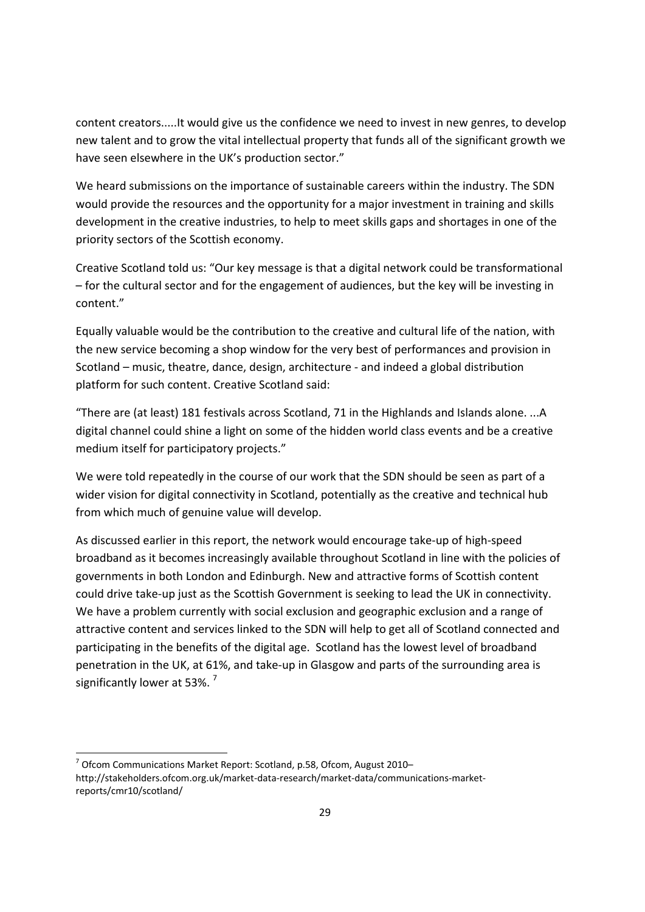content creators.....It would give us the confidence we need to invest in new genres, to develop new talent and to grow the vital intellectual property that funds all of the significant growth we have seen elsewhere in the UK's production sector."

We heard submissions on the importance of sustainable careers within the industry. The SDN would provide the resources and the opportunity for a major investment in training and skills development in the creative industries, to help to meet skills gaps and shortages in one of the priority sectors of the Scottish economy.

Creative Scotland told us: "Our key message is that a digital network could be transformational – for the cultural sector and for the engagement of audiences, but the key will be investing in content."

Equally valuable would be the contribution to the creative and cultural life of the nation, with the new service becoming a shop window for the very best of performances and provision in Scotland – music, theatre, dance, design, architecture - and indeed a global distribution platform for such content. Creative Scotland said:

"There are (at least) 181 festivals across Scotland, 71 in the Highlands and Islands alone. ...A digital channel could shine a light on some of the hidden world class events and be a creative medium itself for participatory projects."

We were told repeatedly in the course of our work that the SDN should be seen as part of a wider vision for digital connectivity in Scotland, potentially as the creative and technical hub from which much of genuine value will develop.

As discussed earlier in this report, the network would encourage take-up of high-speed broadband as it becomes increasingly available throughout Scotland in line with the policies of governments in both London and Edinburgh. New and attractive forms of Scottish content could drive take-up just as the Scottish Government is seeking to lead the UK in connectivity. We have a problem currently with social exclusion and geographic exclusion and a range of attractive content and services linked to the SDN will help to get all of Scotland connected and participating in the benefits of the digital age. Scotland has the lowest level of broadband penetration in the UK, at 61%, and take-up in Glasgow and parts of the surrounding area is significantly lower at 53%.<sup>7</sup>

1

<sup>&</sup>lt;sup>7</sup> Ofcom Communications Market Report: Scotland, p.58, Ofcom, August 2010http://stakeholders.ofcom.org.uk/market-data-research/market-data/communications-marketreports/cmr10/scotland/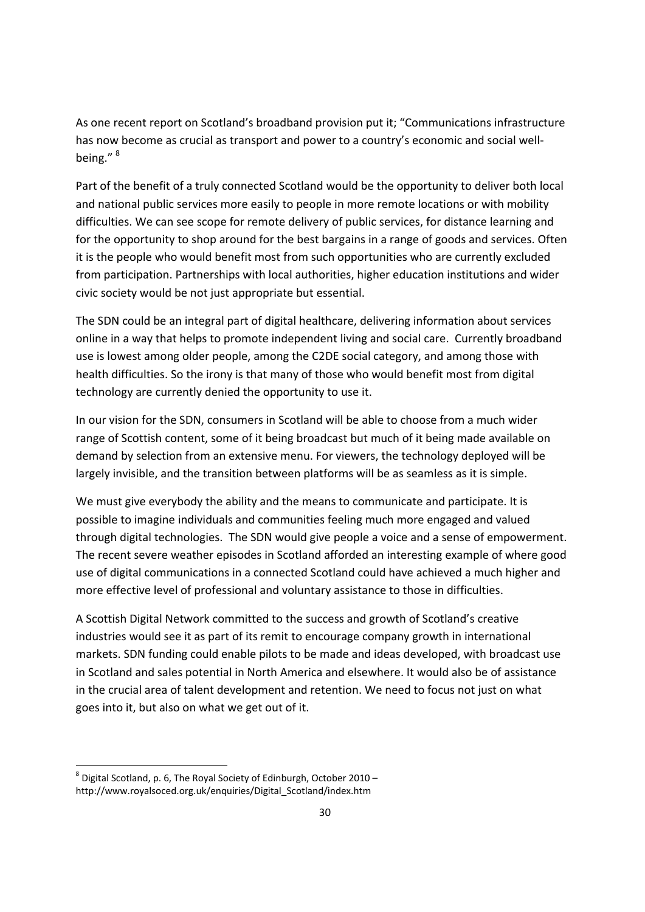As one recent report on Scotland's broadband provision put it; "Communications infrastructure has now become as crucial as transport and power to a country's economic and social wellbeing." <sup>8</sup>

Part of the benefit of a truly connected Scotland would be the opportunity to deliver both local and national public services more easily to people in more remote locations or with mobility difficulties. We can see scope for remote delivery of public services, for distance learning and for the opportunity to shop around for the best bargains in a range of goods and services. Often it is the people who would benefit most from such opportunities who are currently excluded from participation. Partnerships with local authorities, higher education institutions and wider civic society would be not just appropriate but essential.

The SDN could be an integral part of digital healthcare, delivering information about services online in a way that helps to promote independent living and social care. Currently broadband use is lowest among older people, among the C2DE social category, and among those with health difficulties. So the irony is that many of those who would benefit most from digital technology are currently denied the opportunity to use it.

In our vision for the SDN, consumers in Scotland will be able to choose from a much wider range of Scottish content, some of it being broadcast but much of it being made available on demand by selection from an extensive menu. For viewers, the technology deployed will be largely invisible, and the transition between platforms will be as seamless as it is simple.

We must give everybody the ability and the means to communicate and participate. It is possible to imagine individuals and communities feeling much more engaged and valued through digital technologies. The SDN would give people a voice and a sense of empowerment. The recent severe weather episodes in Scotland afforded an interesting example of where good use of digital communications in a connected Scotland could have achieved a much higher and more effective level of professional and voluntary assistance to those in difficulties.

A Scottish Digital Network committed to the success and growth of Scotland's creative industries would see it as part of its remit to encourage company growth in international markets. SDN funding could enable pilots to be made and ideas developed, with broadcast use in Scotland and sales potential in North America and elsewhere. It would also be of assistance in the crucial area of talent development and retention. We need to focus not just on what goes into it, but also on what we get out of it.

1

 $^8$  Digital Scotland, p. 6, The Royal Society of Edinburgh, October 2010 http://www.royalsoced.org.uk/enquiries/Digital\_Scotland/index.htm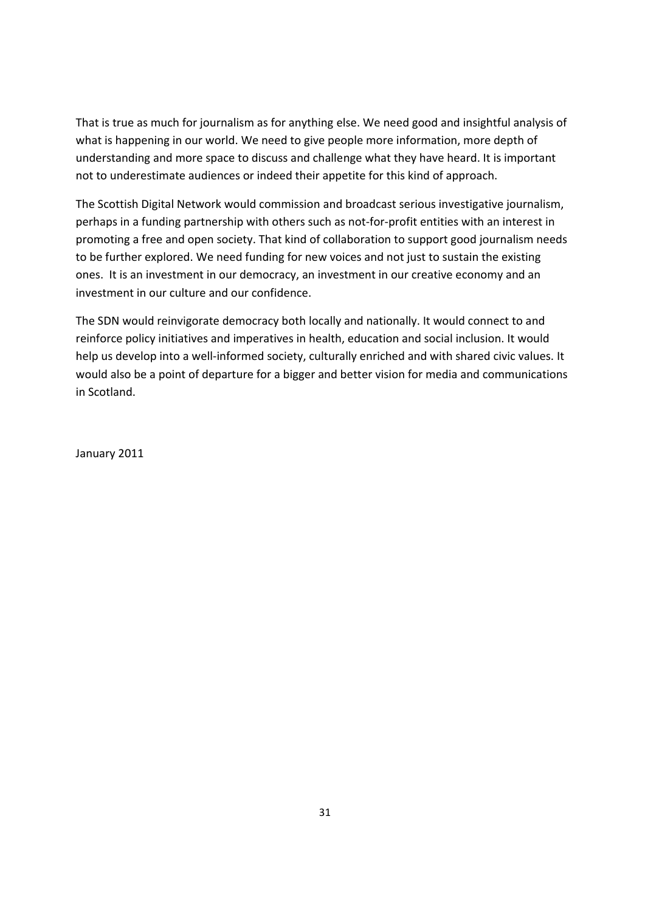That is true as much for journalism as for anything else. We need good and insightful analysis of what is happening in our world. We need to give people more information, more depth of understanding and more space to discuss and challenge what they have heard. It is important not to underestimate audiences or indeed their appetite for this kind of approach.

The Scottish Digital Network would commission and broadcast serious investigative journalism, perhaps in a funding partnership with others such as not-for-profit entities with an interest in promoting a free and open society. That kind of collaboration to support good journalism needs to be further explored. We need funding for new voices and not just to sustain the existing ones. It is an investment in our democracy, an investment in our creative economy and an investment in our culture and our confidence.

The SDN would reinvigorate democracy both locally and nationally. It would connect to and reinforce policy initiatives and imperatives in health, education and social inclusion. It would help us develop into a well-informed society, culturally enriched and with shared civic values. It would also be a point of departure for a bigger and better vision for media and communications in Scotland.

January 2011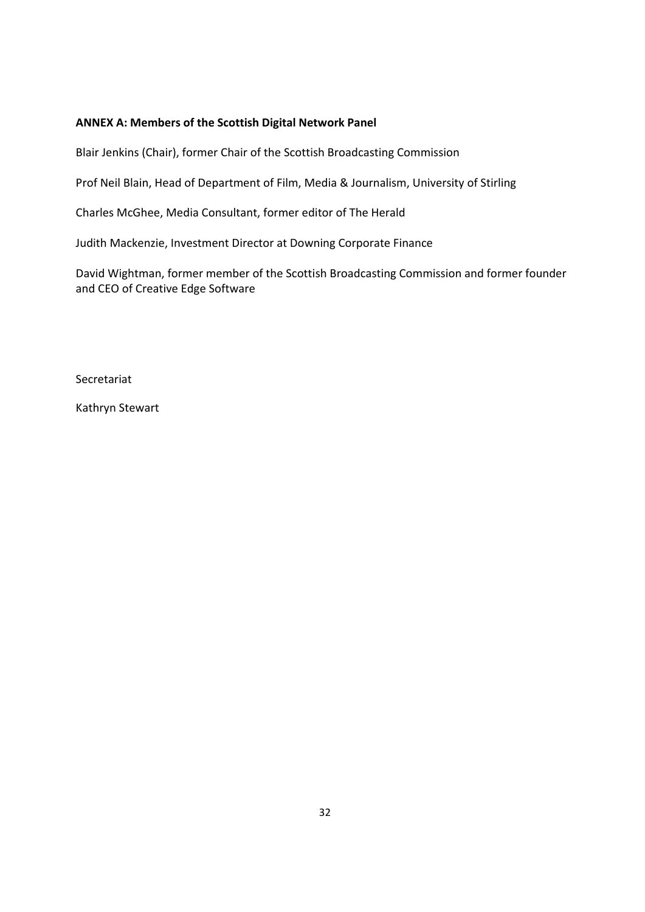### **ANNEX A: Members of the Scottish Digital Network Panel**

Blair Jenkins (Chair), former Chair of the Scottish Broadcasting Commission

Prof Neil Blain, Head of Department of Film, Media & Journalism, University of Stirling

Charles McGhee, Media Consultant, former editor of The Herald

Judith Mackenzie, Investment Director at Downing Corporate Finance

David Wightman, former member of the Scottish Broadcasting Commission and former founder and CEO of Creative Edge Software

Secretariat

Kathryn Stewart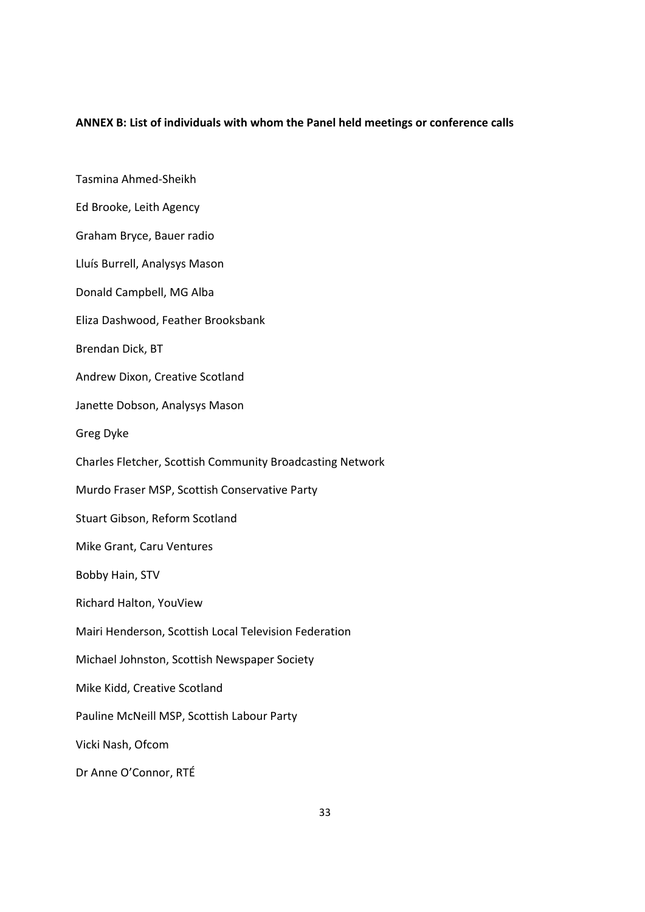#### **ANNEX B: List of individuals with whom the Panel held meetings or conference calls**

Tasmina Ahmed-Sheikh Ed Brooke, Leith Agency Graham Bryce, Bauer radio Lluís Burrell, Analysys Mason Donald Campbell, MG Alba Eliza Dashwood, Feather Brooksbank Brendan Dick, BT Andrew Dixon, Creative Scotland Janette Dobson, Analysys Mason Greg Dyke Charles Fletcher, Scottish Community Broadcasting Network Murdo Fraser MSP, Scottish Conservative Party Stuart Gibson, Reform Scotland Mike Grant, Caru Ventures Bobby Hain, STV Richard Halton, YouView Mairi Henderson, Scottish Local Television Federation Michael Johnston, Scottish Newspaper Society Mike Kidd, Creative Scotland Pauline McNeill MSP, Scottish Labour Party Vicki Nash, Ofcom Dr Anne O'Connor, RTÉ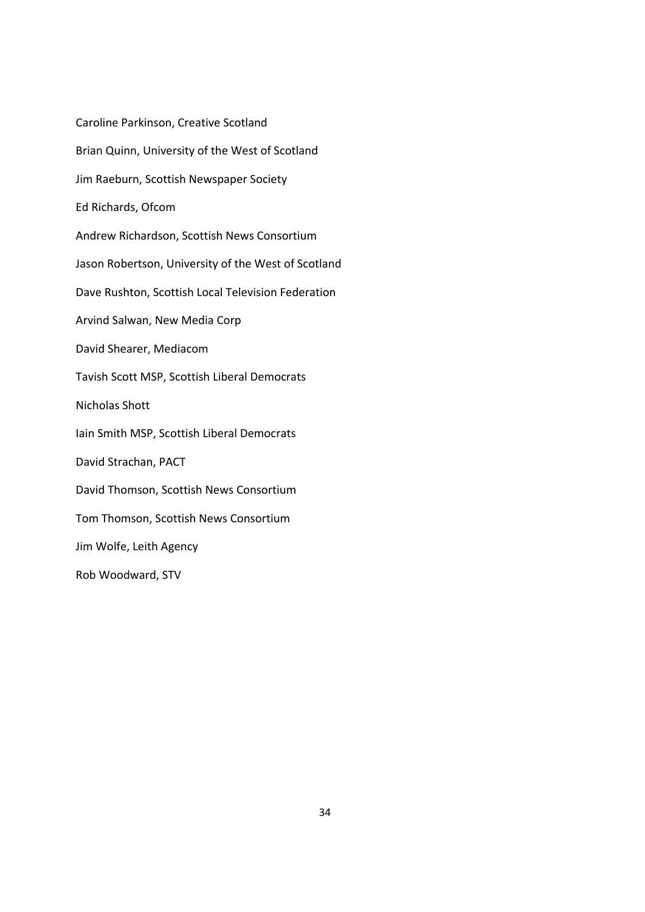Caroline Parkinson, Creative Scotland Brian Quinn, University of the West of Scotland Jim Raeburn, Scottish Newspaper Society Ed Richards, Ofcom Andrew Richardson, Scottish News Consortium Jason Robertson, University of the West of Scotland Dave Rushton, Scottish Local Television Federation Arvind Salwan, New Media Corp David Shearer, Mediacom Tavish Scott MSP, Scottish Liberal Democrats Nicholas Shott Iain Smith MSP, Scottish Liberal Democrats David Strachan, PACT David Thomson, Scottish News Consortium Tom Thomson, Scottish News Consortium Jim Wolfe, Leith Agency Rob Woodward, STV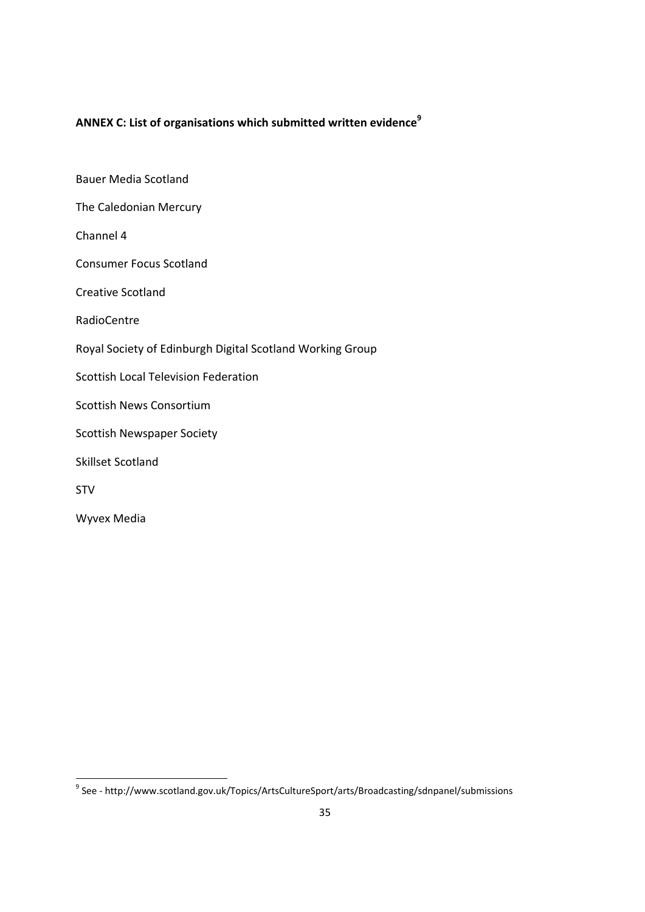# **ANNEX C: List of organisations which submitted written evidence9**

Bauer Media Scotland The Caledonian Mercury Channel 4 Consumer Focus Scotland Creative Scotland RadioCentre Royal Society of Edinburgh Digital Scotland Working Group Scottish Local Television Federation Scottish News Consortium Scottish Newspaper Society Skillset Scotland STV Wyvex Media

 9 See - http://www.scotland.gov.uk/Topics/ArtsCultureSport/arts/Broadcasting/sdnpanel/submissions